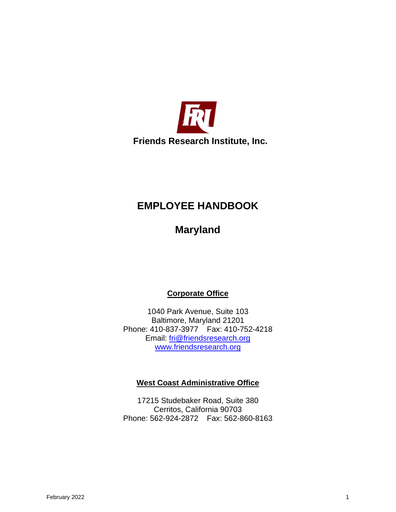

# **EMPLOYEE HANDBOOK**

**Maryland**

**Corporate Office**

1040 Park Avenue, Suite 103 Baltimore, Maryland 21201 Phone: 410-837-3977 Fax: 410-752-4218 Email: [fri@friendsresearch.org](mailto:fri@friendsresearch.org) [www.friendsresearch.org](http://www.friendsresearch.org/)

#### **West Coast Administrative Office**

17215 Studebaker Road, Suite 380 Cerritos, California 90703 Phone: 562-924-2872 Fax: 562-860-8163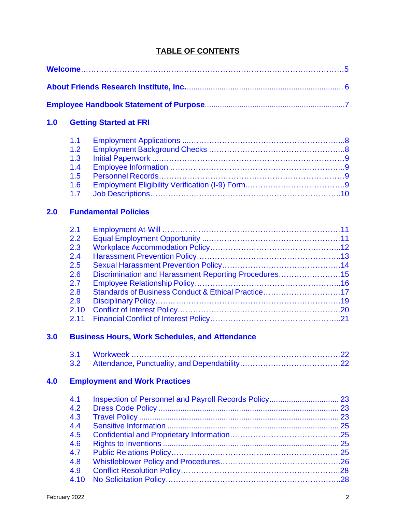# **TABLE OF CONTENTS**

| 1.0 |                                               | <b>Getting Started at FRI</b> |  |
|-----|-----------------------------------------------|-------------------------------|--|
| 2.0 | 1.1<br>1.2<br>1.3<br>1.4<br>1.5<br>1.6<br>1.7 | <b>Fundamental Policies</b>   |  |
|     | 2.1<br>2.2<br>2.3<br>2.4<br>2.5               |                               |  |

| 2.6 | Discrimination and Harassment Reporting Procedures15 |  |
|-----|------------------------------------------------------|--|
| 2.7 |                                                      |  |
| 2.8 | Standards of Business Conduct & Ethical Practice17   |  |
|     |                                                      |  |
|     |                                                      |  |
|     |                                                      |  |
|     |                                                      |  |

# **[3.0 Business Hours, Work Schedules,](#page-21-0) and Attendance**

# **[4.0 Employment and Work Practices](#page-22-0)**

| 4.1  |  |
|------|--|
| 4.2  |  |
| 4.3  |  |
| 4.4  |  |
| 4.5  |  |
| 4.6  |  |
| 4.7  |  |
| 4.8  |  |
| 4.9  |  |
| 4.10 |  |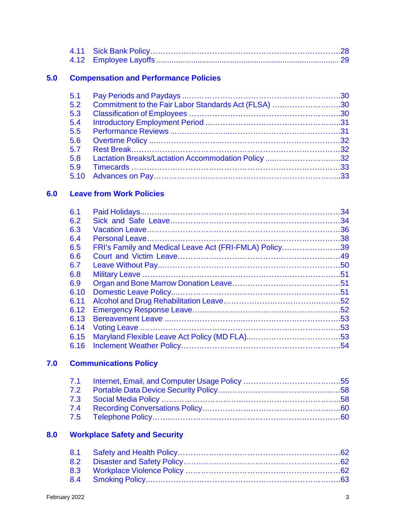## **[5.0 Compensation and Performance Policies](#page-28-1)**

| 5.1  |                                                      |  |
|------|------------------------------------------------------|--|
| 5.2  | Commitment to the Fair Labor Standards Act (FLSA) 30 |  |
| 5.3  |                                                      |  |
| 5.4  |                                                      |  |
| 5.5  |                                                      |  |
| 5.6  |                                                      |  |
| 5.7  |                                                      |  |
| 5.8  | Lactation Breaks/Lactation Accommodation Policy 32   |  |
| 5.9  |                                                      |  |
| 5.10 |                                                      |  |

## **[6.0 Leave from Work Policies](#page-33-0)**

| 6.1  |                                                        |  |
|------|--------------------------------------------------------|--|
| 6.2  |                                                        |  |
| 6.3  |                                                        |  |
| 6.4  |                                                        |  |
| 6.5  | FRI's Family and Medical Leave Act (FRI-FMLA) Policy39 |  |
| 6.6  |                                                        |  |
| 6.7  |                                                        |  |
| 6.8  |                                                        |  |
| 6.9  |                                                        |  |
| 6.10 |                                                        |  |
| 6.11 |                                                        |  |
| 6.12 |                                                        |  |
| 6.13 |                                                        |  |
| 6.14 |                                                        |  |
| 6.15 |                                                        |  |
| 6.16 |                                                        |  |

# **[7.0 Communications Policy](#page-54-0)**

# **[8.0 Workplace Safety and Security](#page-61-0)**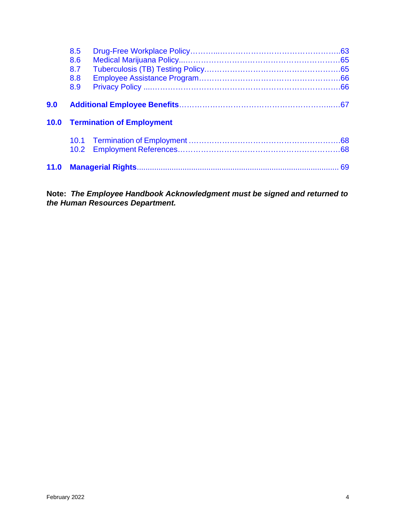|      | 8.5               |                                       |  |
|------|-------------------|---------------------------------------|--|
|      | 8.6               |                                       |  |
|      | 8.7               |                                       |  |
|      | 8.8               |                                       |  |
|      | 8.9               |                                       |  |
| 9.0  |                   |                                       |  |
|      |                   |                                       |  |
|      |                   | <b>10.0 Termination of Employment</b> |  |
|      | 10.2 <sub>1</sub> |                                       |  |
| 11.0 |                   |                                       |  |

**Note:** *The Employee Handbook Acknowledgment must be signed and returned to the Human Resources Department.*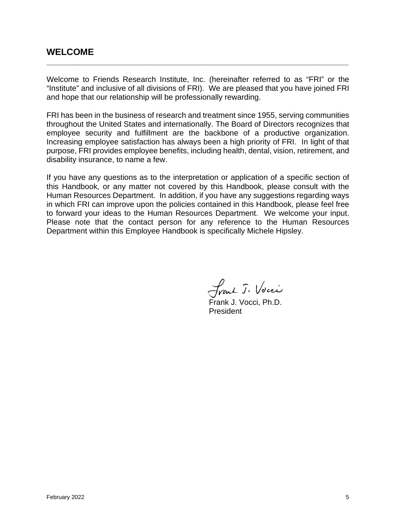# <span id="page-4-0"></span>**WELCOME**

Welcome to Friends Research Institute, Inc. (hereinafter referred to as "FRI" or the "Institute" and inclusive of all divisions of FRI). We are pleased that you have joined FRI and hope that our relationship will be professionally rewarding.

**\_\_\_\_\_\_\_\_\_\_\_\_\_\_\_\_\_\_\_\_\_\_\_\_\_\_\_\_\_\_\_\_\_\_\_\_\_\_\_\_\_\_\_\_\_\_\_\_\_\_\_\_\_\_\_\_\_\_\_\_\_\_\_\_\_\_\_\_\_\_**

FRI has been in the business of research and treatment since 1955, serving communities throughout the United States and internationally. The Board of Directors recognizes that employee security and fulfillment are the backbone of a productive organization. Increasing employee satisfaction has always been a high priority of FRI. In light of that purpose, FRI provides employee benefits, including health, dental, vision, retirement, and disability insurance, to name a few.

If you have any questions as to the interpretation or application of a specific section of this Handbook, or any matter not covered by this Handbook, please consult with the Human Resources Department. In addition, if you have any suggestions regarding ways in which FRI can improve upon the policies contained in this Handbook, please feel free to forward your ideas to the Human Resources Department. We welcome your input. Please note that the contact person for any reference to the Human Resources Department within this Employee Handbook is specifically Michele Hipsley.

Frank J. Vocci

Frank J. Vocci, Ph.D. President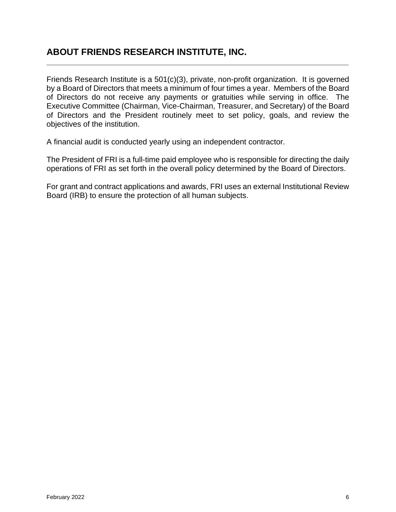# <span id="page-5-0"></span>**ABOUT FRIENDS RESEARCH INSTITUTE, INC.**

Friends Research Institute is a 501(c)(3), private, non-profit organization. It is governed by a Board of Directors that meets a minimum of four times a year. Members of the Board of Directors do not receive any payments or gratuities while serving in office. The Executive Committee (Chairman, Vice-Chairman, Treasurer, and Secretary) of the Board of Directors and the President routinely meet to set policy, goals, and review the objectives of the institution.

**\_\_\_\_\_\_\_\_\_\_\_\_\_\_\_\_\_\_\_\_\_\_\_\_\_\_\_\_\_\_\_\_\_\_\_\_\_\_\_\_\_\_\_\_\_\_\_\_\_\_\_\_\_\_\_\_\_\_\_\_\_\_\_\_\_\_\_\_\_\_**

A financial audit is conducted yearly using an independent contractor.

The President of FRI is a full-time paid employee who is responsible for directing the daily operations of FRI as set forth in the overall policy determined by the Board of Directors.

For grant and contract applications and awards, FRI uses an external Institutional Review Board (IRB) to ensure the protection of all human subjects.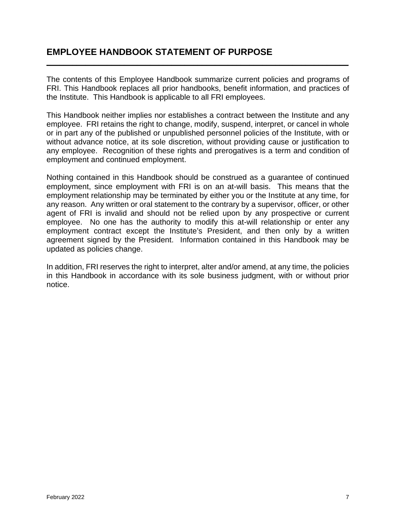# <span id="page-6-0"></span>**EMPLOYEE HANDBOOK STATEMENT OF PURPOSE**

The contents of this Employee Handbook summarize current policies and programs of FRI. This Handbook replaces all prior handbooks, benefit information, and practices of the Institute. This Handbook is applicable to all FRI employees.

**\_\_\_\_\_\_\_\_\_\_\_\_\_\_\_\_\_\_\_\_\_\_\_\_\_\_\_\_\_\_\_\_\_\_\_\_\_\_\_\_\_\_\_\_\_\_\_\_\_\_\_\_\_\_\_\_\_\_\_\_\_\_\_\_\_\_\_\_\_\_**

This Handbook neither implies nor establishes a contract between the Institute and any employee. FRI retains the right to change, modify, suspend, interpret, or cancel in whole or in part any of the published or unpublished personnel policies of the Institute, with or without advance notice, at its sole discretion, without providing cause or justification to any employee. Recognition of these rights and prerogatives is a term and condition of employment and continued employment.

Nothing contained in this Handbook should be construed as a guarantee of continued employment, since employment with FRI is on an at-will basis. This means that the employment relationship may be terminated by either you or the Institute at any time, for any reason. Any written or oral statement to the contrary by a supervisor, officer, or other agent of FRI is invalid and should not be relied upon by any prospective or current employee. No one has the authority to modify this at-will relationship or enter any employment contract except the Institute's President, and then only by a written agreement signed by the President. Information contained in this Handbook may be updated as policies change.

In addition, FRI reserves the right to interpret, alter and/or amend, at any time, the policies in this Handbook in accordance with its sole business judgment, with or without prior notice.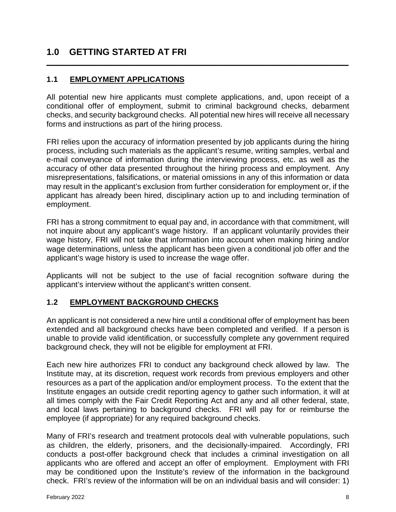# <span id="page-7-0"></span>**1.0 GETTING STARTED AT FRI**

#### <span id="page-7-1"></span>**1.1 EMPLOYMENT APPLICATIONS**

All potential new hire applicants must complete applications, and, upon receipt of a conditional offer of employment, submit to criminal background checks, debarment checks, and security background checks. All potential new hires will receive all necessary forms and instructions as part of the hiring process.

**\_\_\_\_\_\_\_\_\_\_\_\_\_\_\_\_\_\_\_\_\_\_\_\_\_\_\_\_\_\_\_\_\_\_\_\_\_\_\_\_\_\_\_\_\_\_\_\_\_\_\_\_\_\_\_\_\_\_\_\_\_\_\_\_\_\_\_\_\_\_**

FRI relies upon the accuracy of information presented by job applicants during the hiring process, including such materials as the applicant's resume, writing samples, verbal and e-mail conveyance of information during the interviewing process, etc. as well as the accuracy of other data presented throughout the hiring process and employment. Any misrepresentations, falsifications, or material omissions in any of this information or data may result in the applicant's exclusion from further consideration for employment or, if the applicant has already been hired, disciplinary action up to and including termination of employment.

FRI has a strong commitment to equal pay and, in accordance with that commitment, will not inquire about any applicant's wage history. If an applicant voluntarily provides their wage history, FRI will not take that information into account when making hiring and/or wage determinations, unless the applicant has been given a conditional job offer and the applicant's wage history is used to increase the wage offer.

Applicants will not be subject to the use of facial recognition software during the applicant's interview without the applicant's written consent.

#### <span id="page-7-2"></span>**1.2 EMPLOYMENT BACKGROUND CHECKS**

An applicant is not considered a new hire until a conditional offer of employment has been extended and all background checks have been completed and verified. If a person is unable to provide valid identification, or successfully complete any government required background check, they will not be eligible for employment at FRI.

Each new hire authorizes FRI to conduct any background check allowed by law. The Institute may, at its discretion, request work records from previous employers and other resources as a part of the application and/or employment process. To the extent that the Institute engages an outside credit reporting agency to gather such information, it will at all times comply with the Fair Credit Reporting Act and any and all other federal, state, and local laws pertaining to background checks. FRI will pay for or reimburse the employee (if appropriate) for any required background checks.

Many of FRI's research and treatment protocols deal with vulnerable populations, such as children, the elderly, prisoners, and the decisionally-impaired. Accordingly, FRI conducts a post-offer background check that includes a criminal investigation on all applicants who are offered and accept an offer of employment. Employment with FRI may be conditioned upon the Institute's review of the information in the background check. FRI's review of the information will be on an individual basis and will consider: 1)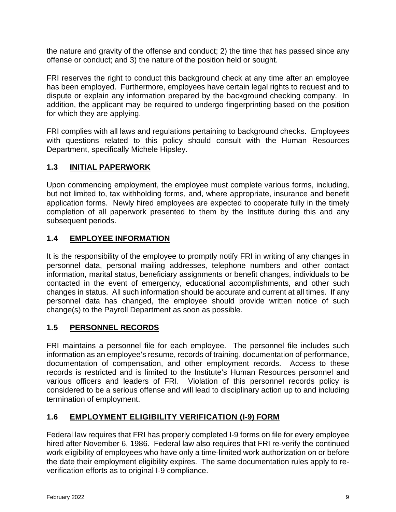the nature and gravity of the offense and conduct; 2) the time that has passed since any offense or conduct; and 3) the nature of the position held or sought.

FRI reserves the right to conduct this background check at any time after an employee has been employed. Furthermore, employees have certain legal rights to request and to dispute or explain any information prepared by the background checking company. In addition, the applicant may be required to undergo fingerprinting based on the position for which they are applying.

FRI complies with all laws and regulations pertaining to background checks. Employees with questions related to this policy should consult with the Human Resources Department, specifically Michele Hipsley.

# <span id="page-8-0"></span>**1.3 INITIAL PAPERWORK**

Upon commencing employment, the employee must complete various forms, including, but not limited to, tax withholding forms, and, where appropriate, insurance and benefit application forms. Newly hired employees are expected to cooperate fully in the timely completion of all paperwork presented to them by the Institute during this and any subsequent periods.

# <span id="page-8-1"></span>**1.4 EMPLOYEE INFORMATION**

It is the responsibility of the employee to promptly notify FRI in writing of any changes in personnel data, personal mailing addresses, telephone numbers and other contact information, marital status, beneficiary assignments or benefit changes, individuals to be contacted in the event of emergency, educational accomplishments, and other such changes in status. All such information should be accurate and current at all times. If any personnel data has changed, the employee should provide written notice of such change(s) to the Payroll Department as soon as possible.

# <span id="page-8-2"></span>**1.5 PERSONNEL RECORDS**

FRI maintains a personnel file for each employee. The personnel file includes such information as an employee's resume, records of training, documentation of performance, documentation of compensation, and other employment records. Access to these records is restricted and is limited to the Institute's Human Resources personnel and various officers and leaders of FRI. Violation of this personnel records policy is considered to be a serious offense and will lead to disciplinary action up to and including termination of employment.

# <span id="page-8-3"></span>**1.6 EMPLOYMENT ELIGIBILITY VERIFICATION (I-9) FORM**

Federal law requires that FRI has properly completed I-9 forms on file for every employee hired after November 6, 1986. Federal law also requires that FRI re-verify the continued work eligibility of employees who have only a time-limited work authorization on or before the date their employment eligibility expires. The same documentation rules apply to reverification efforts as to original I-9 compliance.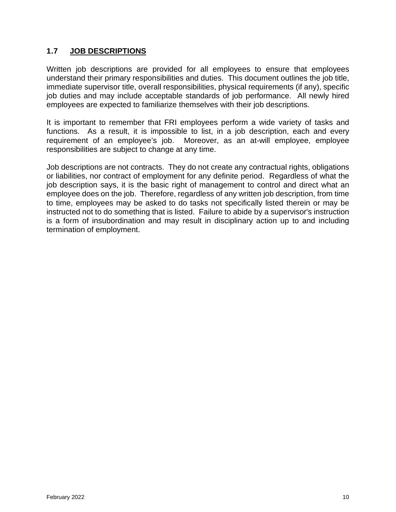#### <span id="page-9-0"></span>**1.7 JOB DESCRIPTIONS**

Written job descriptions are provided for all employees to ensure that employees understand their primary responsibilities and duties. This document outlines the job title, immediate supervisor title, overall responsibilities, physical requirements (if any), specific job duties and may include acceptable standards of job performance. All newly hired employees are expected to familiarize themselves with their job descriptions.

It is important to remember that FRI employees perform a wide variety of tasks and functions. As a result, it is impossible to list, in a job description, each and every requirement of an employee's job. Moreover, as an at-will employee, employee responsibilities are subject to change at any time.

Job descriptions are not contracts. They do not create any contractual rights, obligations or liabilities, nor contract of employment for any definite period. Regardless of what the job description says, it is the basic right of management to control and direct what an employee does on the job. Therefore, regardless of any written job description, from time to time, employees may be asked to do tasks not specifically listed therein or may be instructed not to do something that is listed. Failure to abide by a supervisor's instruction is a form of insubordination and may result in disciplinary action up to and including termination of employment.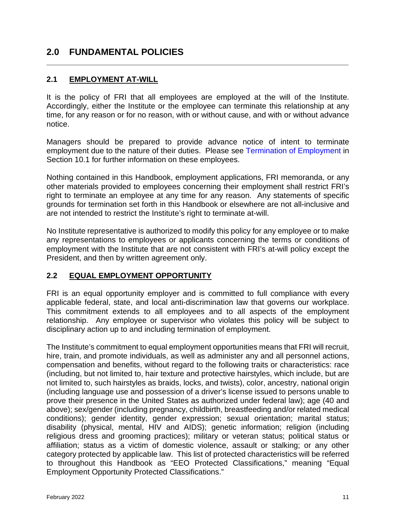# <span id="page-10-0"></span>**2.0 FUNDAMENTAL POLICIES**

#### <span id="page-10-1"></span>**2.1 EMPLOYMENT AT-WILL**

It is the policy of FRI that all employees are employed at the will of the Institute. Accordingly, either the Institute or the employee can terminate this relationship at any time, for any reason or for no reason, with or without cause, and with or without advance notice.

**\_\_\_\_\_\_\_\_\_\_\_\_\_\_\_\_\_\_\_\_\_\_\_\_\_\_\_\_\_\_\_\_\_\_\_\_\_\_\_\_\_\_\_\_\_\_\_\_\_\_\_\_\_\_\_\_\_\_\_\_\_\_\_\_\_\_\_\_\_\_**

Managers should be prepared to provide advance notice of intent to terminate employment due to the nature of their duties. Please see [Termination of Employment](#page-67-0) in Section 10.1 for further information on these employees.

Nothing contained in this Handbook, employment applications, FRI memoranda, or any other materials provided to employees concerning their employment shall restrict FRI's right to terminate an employee at any time for any reason. Any statements of specific grounds for termination set forth in this Handbook or elsewhere are not all-inclusive and are not intended to restrict the Institute's right to terminate at-will.

No Institute representative is authorized to modify this policy for any employee or to make any representations to employees or applicants concerning the terms or conditions of employment with the Institute that are not consistent with FRI's at-will policy except the President, and then by written agreement only.

#### <span id="page-10-2"></span>**2.2 EQUAL EMPLOYMENT OPPORTUNITY**

FRI is an equal opportunity employer and is committed to full compliance with every applicable federal, state, and local anti-discrimination law that governs our workplace. This commitment extends to all employees and to all aspects of the employment relationship. Any employee or supervisor who violates this policy will be subject to disciplinary action up to and including termination of employment.

The Institute's commitment to equal employment opportunities means that FRI will recruit, hire, train, and promote individuals, as well as administer any and all personnel actions, compensation and benefits, without regard to the following traits or characteristics: race (including, but not limited to, hair texture and protective hairstyles, which include, but are not limited to, such hairstyles as braids, locks, and twists), color, ancestry, national origin (including language use and possession of a driver's license issued to persons unable to prove their presence in the United States as authorized under federal law); age (40 and above); sex/gender (including pregnancy, childbirth, breastfeeding and/or related medical conditions); gender identity, gender expression; sexual orientation; marital status; disability (physical, mental, HIV and AIDS); genetic information; religion (including religious dress and grooming practices); military or veteran status; political status or affiliation; status as a victim of domestic violence, assault or stalking; or any other category protected by applicable law. This list of protected characteristics will be referred to throughout this Handbook as "EEO Protected Classifications," meaning "Equal Employment Opportunity Protected Classifications."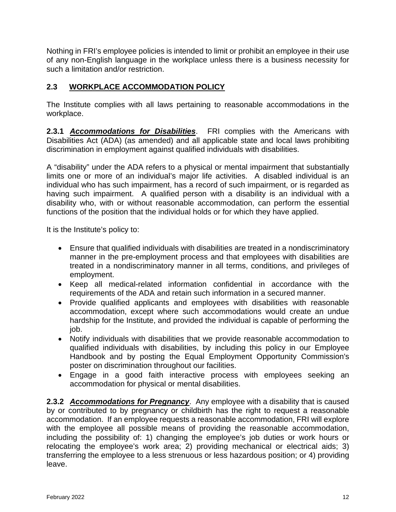Nothing in FRI's employee policies is intended to limit or prohibit an employee in their use of any non-English language in the workplace unless there is a business necessity for such a limitation and/or restriction.

# <span id="page-11-0"></span>**2.3 WORKPLACE ACCOMMODATION POLICY**

The Institute complies with all laws pertaining to reasonable accommodations in the workplace.

**2.3.1** *Accommodations for Disabilities*. FRI complies with the Americans with Disabilities Act (ADA) (as amended) and all applicable state and local laws prohibiting discrimination in employment against qualified individuals with disabilities.

A "disability" under the ADA refers to a physical or mental impairment that substantially limits one or more of an individual's major life activities. A disabled individual is an individual who has such impairment, has a record of such impairment, or is regarded as having such impairment. A qualified person with a disability is an individual with a disability who, with or without reasonable accommodation, can perform the essential functions of the position that the individual holds or for which they have applied.

It is the Institute's policy to:

- Ensure that qualified individuals with disabilities are treated in a nondiscriminatory manner in the pre-employment process and that employees with disabilities are treated in a nondiscriminatory manner in all terms, conditions, and privileges of employment.
- Keep all medical-related information confidential in accordance with the requirements of the ADA and retain such information in a secured manner.
- Provide qualified applicants and employees with disabilities with reasonable accommodation, except where such accommodations would create an undue hardship for the Institute, and provided the individual is capable of performing the job.
- Notify individuals with disabilities that we provide reasonable accommodation to qualified individuals with disabilities, by including this policy in our Employee Handbook and by posting the Equal Employment Opportunity Commission's poster on discrimination throughout our facilities.
- Engage in a good faith interactive process with employees seeking an accommodation for physical or mental disabilities.

**2.3.2** *Accommodations for Pregnancy*. Any employee with a disability that is caused by or contributed to by pregnancy or childbirth has the right to request a reasonable accommodation. If an employee requests a reasonable accommodation, FRI will explore with the employee all possible means of providing the reasonable accommodation, including the possibility of: 1) changing the employee's job duties or work hours or relocating the employee's work area; 2) providing mechanical or electrical aids; 3) transferring the employee to a less strenuous or less hazardous position; or 4) providing leave.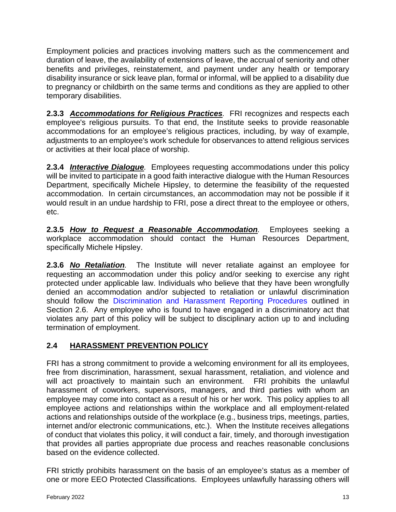Employment policies and practices involving matters such as the commencement and duration of leave, the availability of extensions of leave, the accrual of seniority and other benefits and privileges, reinstatement, and payment under any health or temporary disability insurance or sick leave plan, formal or informal, will be applied to a disability due to pregnancy or childbirth on the same terms and conditions as they are applied to other temporary disabilities.

**2.3.3** *Accommodations for Religious Practices.* FRI recognizes and respects each employee's religious pursuits. To that end, the Institute seeks to provide reasonable accommodations for an employee's religious practices, including, by way of example, adjustments to an employee's work schedule for observances to attend religious services or activities at their local place of worship.

**2.3.4** *Interactive Dialogue.* Employees requesting accommodations under this policy will be invited to participate in a good faith interactive dialogue with the Human Resources Department, specifically Michele Hipsley, to determine the feasibility of the requested accommodation. In certain circumstances, an accommodation may not be possible if it would result in an undue hardship to FRI, pose a direct threat to the employee or others, etc.

**2.3.5** *How to Request a Reasonable Accommodation.* Employees seeking a workplace accommodation should contact the Human Resources Department, specifically Michele Hipsley.

**2.3.6** *No Retaliation.* The Institute will never retaliate against an employee for requesting an accommodation under this policy and/or seeking to exercise any right protected under applicable law. Individuals who believe that they have been wrongfully denied an accommodation and/or subjected to retaliation or unlawful discrimination should follow the [Discrimination and Harassment Reporting Procedures](#page-14-0) outlined in Section 2.6. Any employee who is found to have engaged in a discriminatory act that violates any part of this policy will be subject to disciplinary action up to and including termination of employment.

# <span id="page-12-0"></span>**2.4 HARASSMENT PREVENTION POLICY**

FRI has a strong commitment to provide a welcoming environment for all its employees, free from discrimination, harassment, sexual harassment, retaliation, and violence and will act proactively to maintain such an environment. FRI prohibits the unlawful harassment of coworkers, supervisors, managers, and third parties with whom an employee may come into contact as a result of his or her work. This policy applies to all employee actions and relationships within the workplace and all employment-related actions and relationships outside of the workplace (e.g., business trips, meetings, parties, internet and/or electronic communications, etc.). When the Institute receives allegations of conduct that violates this policy, it will conduct a fair, timely, and thorough investigation that provides all parties appropriate due process and reaches reasonable conclusions based on the evidence collected.

FRI strictly prohibits harassment on the basis of an employee's status as a member of one or more EEO Protected Classifications. Employees unlawfully harassing others will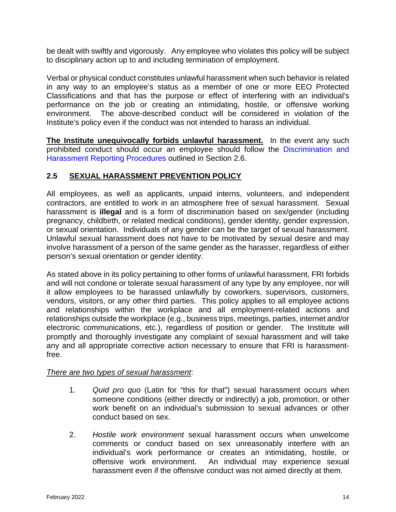be dealt with swiftly and vigorously. Any employee who violates this policy will be subject to disciplinary action up to and including termination of employment.

Verbal or physical conduct constitutes unlawful harassment when such behavior is related in any way to an employee's status as a member of one or more EEO Protected Classifications and that has the purpose or effect of interfering with an individual's performance on the job or creating an intimidating, hostile, or offensive working environment. The above-described conduct will be considered in violation of the Institute's policy even if the conduct was not intended to harass an individual.

**The Institute unequivocally forbids unlawful harassment.** In the event any such prohibited conduct should occur an employee should follow the [Discrimination and](#page-14-0)  [Harassment Reporting Procedures](#page-14-0) outlined in Section 2.6.

# <span id="page-13-0"></span>**2.5 SEXUAL HARASSMENT PREVENTION POLICY**

All employees, as well as applicants, unpaid interns, volunteers, and independent contractors, are entitled to work in an atmosphere free of sexual harassment. Sexual harassment is **illegal** and is a form of discrimination based on sex/gender (including pregnancy, childbirth, or related medical conditions), gender identity, gender expression, or sexual orientation. Individuals of any gender can be the target of sexual harassment. Unlawful sexual harassment does not have to be motivated by sexual desire and may involve harassment of a person of the same gender as the harasser, regardless of either person's sexual orientation or gender identity.

As stated above in its policy pertaining to other forms of unlawful harassment, FRI forbids and will not condone or tolerate sexual harassment of any type by any employee, nor will it allow employees to be harassed unlawfully by coworkers, supervisors, customers, vendors, visitors, or any other third parties. This policy applies to all employee actions and relationships within the workplace and all employment-related actions and relationships outside the workplace (e.g., business trips, meetings, parties, internet and/or electronic communications, etc.), regardless of position or gender. The Institute will promptly and thoroughly investigate any complaint of sexual harassment and will take any and all appropriate corrective action necessary to ensure that FRI is harassmentfree.

# *There are two types of sexual harassment*:

- 1. *Quid pro quo* (Latin for "this for that") sexual harassment occurs when someone conditions (either directly or indirectly) a job, promotion, or other work benefit on an individual's submission to sexual advances or other conduct based on sex.
- 2. *Hostile work environment* sexual harassment occurs when unwelcome comments or conduct based on sex unreasonably interfere with an individual's work performance or creates an intimidating, hostile, or offensive work environment. An individual may experience sexual harassment even if the offensive conduct was not aimed directly at them.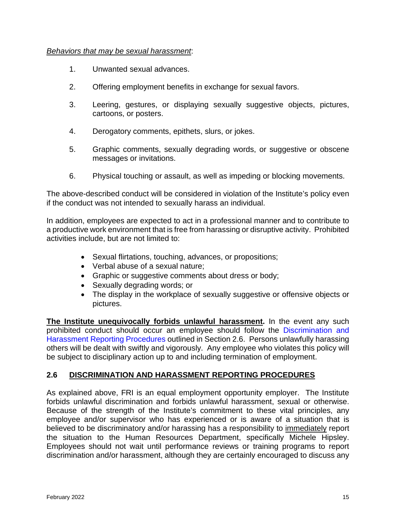#### *Behaviors that may be sexual harassment*:

- 1. Unwanted sexual advances.
- 2. Offering employment benefits in exchange for sexual favors.
- 3. Leering, gestures, or displaying sexually suggestive objects, pictures, cartoons, or posters.
- 4. Derogatory comments, epithets, slurs, or jokes.
- 5. Graphic comments, sexually degrading words, or suggestive or obscene messages or invitations.
- 6. Physical touching or assault, as well as impeding or blocking movements.

The above-described conduct will be considered in violation of the Institute's policy even if the conduct was not intended to sexually harass an individual.

In addition, employees are expected to act in a professional manner and to contribute to a productive work environment that is free from harassing or disruptive activity. Prohibited activities include, but are not limited to:

- Sexual flirtations, touching, advances, or propositions;
- Verbal abuse of a sexual nature;
- Graphic or suggestive comments about dress or body;
- Sexually degrading words; or
- The display in the workplace of sexually suggestive or offensive objects or pictures.

**The Institute unequivocally forbids unlawful harassment.** In the event any such prohibited conduct should occur an employee should follow the [Discrimination and](#page-14-0)  [Harassment Reporting Procedures](#page-14-0) outlined in Section 2.6. Persons unlawfully harassing others will be dealt with swiftly and vigorously. Any employee who violates this policy will be subject to disciplinary action up to and including termination of employment.

#### <span id="page-14-0"></span>**2.6 DISCRIMINATION AND HARASSMENT REPORTING PROCEDURES**

As explained above, FRI is an equal employment opportunity employer. The Institute forbids unlawful discrimination and forbids unlawful harassment, sexual or otherwise. Because of the strength of the Institute's commitment to these vital principles, any employee and/or supervisor who has experienced or is aware of a situation that is believed to be discriminatory and/or harassing has a responsibility to immediately report the situation to the Human Resources Department, specifically Michele Hipsley. Employees should not wait until performance reviews or training programs to report discrimination and/or harassment, although they are certainly encouraged to discuss any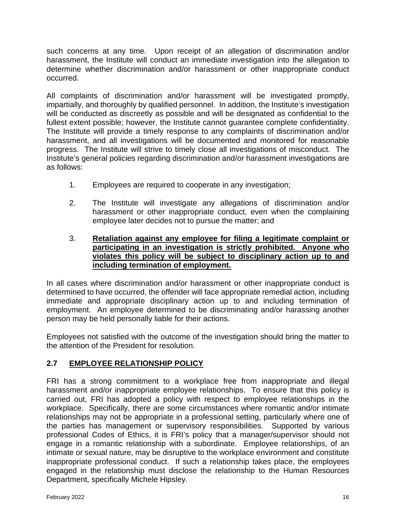such concerns at any time. Upon receipt of an allegation of discrimination and/or harassment, the Institute will conduct an immediate investigation into the allegation to determine whether discrimination and/or harassment or other inappropriate conduct occurred.

All complaints of discrimination and/or harassment will be investigated promptly, impartially, and thoroughly by qualified personnel. In addition, the Institute's investigation will be conducted as discreetly as possible and will be designated as confidential to the fullest extent possible; however, the Institute cannot guarantee complete confidentiality. The Institute will provide a timely response to any complaints of discrimination and/or harassment, and all investigations will be documented and monitored for reasonable progress. The Institute will strive to timely close all investigations of misconduct. The Institute's general policies regarding discrimination and/or harassment investigations are as follows:

- 1. Employees are required to cooperate in any investigation;
- 2. The Institute will investigate any allegations of discrimination and/or harassment or other inappropriate conduct, even when the complaining employee later decides not to pursue the matter; and
- 3. **Retaliation against any employee for filing a legitimate complaint or participating in an investigation is strictly prohibited. Anyone who violates this policy will be subject to disciplinary action up to and including termination of employment.**

In all cases where discrimination and/or harassment or other inappropriate conduct is determined to have occurred, the offender will face appropriate remedial action, including immediate and appropriate disciplinary action up to and including termination of employment. An employee determined to be discriminating and/or harassing another person may be held personally liable for their actions.

Employees not satisfied with the outcome of the investigation should bring the matter to the attention of the President for resolution.

# <span id="page-15-0"></span>**2.7 EMPLOYEE RELATIONSHIP POLICY**

FRI has a strong commitment to a workplace free from inappropriate and illegal harassment and/or inappropriate employee relationships. To ensure that this policy is carried out, FRI has adopted a policy with respect to employee relationships in the workplace. Specifically, there are some circumstances where romantic and/or intimate relationships may not be appropriate in a professional setting, particularly where one of the parties has management or supervisory responsibilities. Supported by various professional Codes of Ethics, it is FRI's policy that a manager/supervisor should not engage in a romantic relationship with a subordinate. Employee relationships, of an intimate or sexual nature, may be disruptive to the workplace environment and constitute inappropriate professional conduct. If such a relationship takes place, the employees engaged in the relationship must disclose the relationship to the Human Resources Department, specifically Michele Hipsley.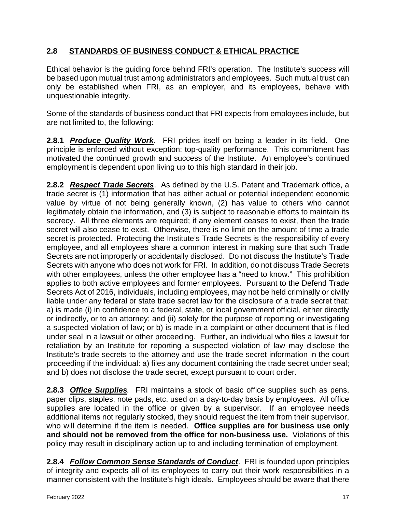## <span id="page-16-0"></span>**2.8 STANDARDS OF BUSINESS CONDUCT & ETHICAL PRACTICE**

Ethical behavior is the guiding force behind FRI's operation. The Institute's success will be based upon mutual trust among administrators and employees. Such mutual trust can only be established when FRI, as an employer, and its employees, behave with unquestionable integrity.

Some of the standards of business conduct that FRI expects from employees include, but are not limited to, the following:

**2.8.1** *Produce Quality Work.* FRI prides itself on being a leader in its field. One principle is enforced without exception: top-quality performance. This commitment has motivated the continued growth and success of the Institute. An employee's continued employment is dependent upon living up to this high standard in their job.

**2.8.2** *Respect Trade Secrets*. As defined by the U.S. Patent and Trademark office, a trade secret is (1) information that has either actual or potential independent economic value by virtue of not being generally known, (2) has value to others who cannot legitimately obtain the information, and (3) is subject to reasonable efforts to maintain its secrecy. All three elements are required; if any element ceases to exist, then the trade secret will also cease to exist. Otherwise, there is no limit on the amount of time a trade secret is protected. Protecting the Institute's Trade Secrets is the responsibility of every employee, and all employees share a common interest in making sure that such Trade Secrets are not improperly or accidentally disclosed. Do not discuss the Institute's Trade Secrets with anyone who does not work for FRI. In addition, do not discuss Trade Secrets with other employees, unless the other employee has a "need to know." This prohibition applies to both active employees and former employees. Pursuant to the Defend Trade Secrets Act of 2016, individuals, including employees, may not be held criminally or civilly liable under any federal or state trade secret law for the disclosure of a trade secret that: a) is made (i) in confidence to a federal, state, or local government official, either directly or indirectly, or to an attorney; and (ii) solely for the purpose of reporting or investigating a suspected violation of law; or b) is made in a complaint or other document that is filed under seal in a lawsuit or other proceeding. Further, an individual who files a lawsuit for retaliation by an Institute for reporting a suspected violation of law may disclose the Institute's trade secrets to the attorney and use the trade secret information in the court proceeding if the individual: a) files any document containing the trade secret under seal; and b) does not disclose the trade secret, except pursuant to court order.

**2.8.3** *Office Supplies.* FRI maintains a stock of basic office supplies such as pens, paper clips, staples, note pads, etc. used on a day-to-day basis by employees. All office supplies are located in the office or given by a supervisor. If an employee needs additional items not regularly stocked, they should request the item from their supervisor, who will determine if the item is needed. **Office supplies are for business use only and should not be removed from the office for non-business use.** Violations of this policy may result in disciplinary action up to and including termination of employment.

**2.8.4** *Follow Common Sense Standards of Conduct*. FRI is founded upon principles of integrity and expects all of its employees to carry out their work responsibilities in a manner consistent with the Institute's high ideals. Employees should be aware that there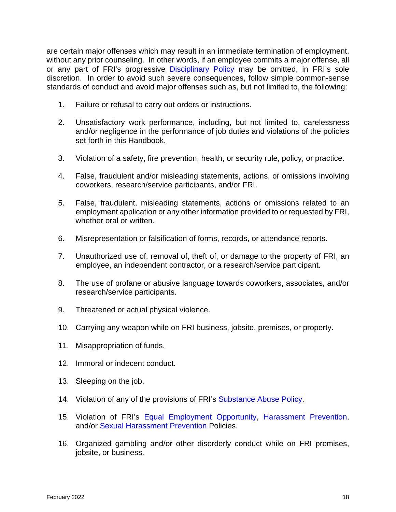are certain major offenses which may result in an immediate termination of employment, without any prior counseling. In other words, if an employee commits a major offense, all or any part of FRI's progressive [Disciplinary Policy](#page-18-0) may be omitted, in FRI's sole discretion. In order to avoid such severe consequences, follow simple common-sense standards of conduct and avoid major offenses such as, but not limited to, the following:

- 1. Failure or refusal to carry out orders or instructions.
- 2. Unsatisfactory work performance, including, but not limited to, carelessness and/or negligence in the performance of job duties and violations of the policies set forth in this Handbook.
- 3. Violation of a safety, fire prevention, health, or security rule, policy, or practice.
- 4. False, fraudulent and/or misleading statements, actions, or omissions involving coworkers, research/service participants, and/or FRI.
- 5. False, fraudulent, misleading statements, actions or omissions related to an employment application or any other information provided to or requested by FRI, whether oral or written.
- 6. Misrepresentation or falsification of forms, records, or attendance reports.
- 7. Unauthorized use of, removal of, theft of, or damage to the property of FRI, an employee, an independent contractor, or a research/service participant.
- 8. The use of profane or abusive language towards coworkers, associates, and/or research/service participants.
- 9. Threatened or actual physical violence.
- 10. Carrying any weapon while on FRI business, jobsite, premises, or property.
- 11. Misappropriation of funds.
- 12. Immoral or indecent conduct.
- 13. Sleeping on the job.
- 14. Violation of any of the provisions of FRI's [Substance Abuse Policy.](#page-62-1)
- 15. Violation of FRI's [Equal Employment Opportunity,](#page-10-2) [Harassment Prevention,](#page-12-0) and/or [Sexual Harassment Prevention](#page-13-0) Policies.
- 16. Organized gambling and/or other disorderly conduct while on FRI premises, jobsite, or business.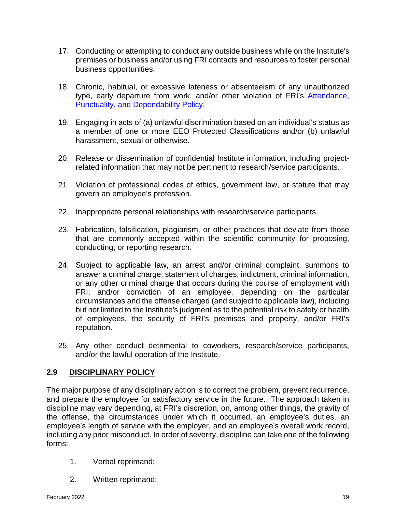- 17. Conducting or attempting to conduct any outside business while on the Institute's premises or business and/or using FRI contacts and resources to foster personal business opportunities.
- 18. Chronic, habitual, or excessive lateness or absenteeism of any unauthorized type, early departure from work, and/or other violation of FRI's [Attendance,](#page-21-2)  [Punctuality, and Dependability Policy.](#page-21-2)
- 19. Engaging in acts of (a) unlawful discrimination based on an individual's status as a member of one or more EEO Protected Classifications and/or (b) unlawful harassment, sexual or otherwise.
- 20. Release or dissemination of confidential Institute information, including projectrelated information that may not be pertinent to research/service participants.
- 21. Violation of professional codes of ethics, government law, or statute that may govern an employee's profession.
- 22. Inappropriate personal relationships with research/service participants.
- 23. Fabrication, falsification, plagiarism, or other practices that deviate from those that are commonly accepted within the scientific community for proposing, conducting, or reporting research.
- 24. Subject to applicable law, an arrest and/or criminal complaint, summons to answer a criminal charge; statement of charges, indictment, criminal information, or any other criminal charge that occurs during the course of employment with FRI; and/or conviction of an employee, depending on the particular circumstances and the offense charged (and subject to applicable law), including but not limited to the Institute's judgment as to the potential risk to safety or health of employees, the security of FRI's premises and property, and/or FRI's reputation.
- 25. Any other conduct detrimental to coworkers, research/service participants, and/or the lawful operation of the Institute.

#### <span id="page-18-0"></span>**2.9 DISCIPLINARY POLICY**

The major purpose of any disciplinary action is to correct the problem, prevent recurrence, and prepare the employee for satisfactory service in the future. The approach taken in discipline may vary depending, at FRI's discretion, on, among other things, the gravity of the offense, the circumstances under which it occurred, an employee's duties, an employee's length of service with the employer, and an employee's overall work record, including any prior misconduct. In order of severity, discipline can take one of the following forms:

- 1. Verbal reprimand;
- 2. Written reprimand;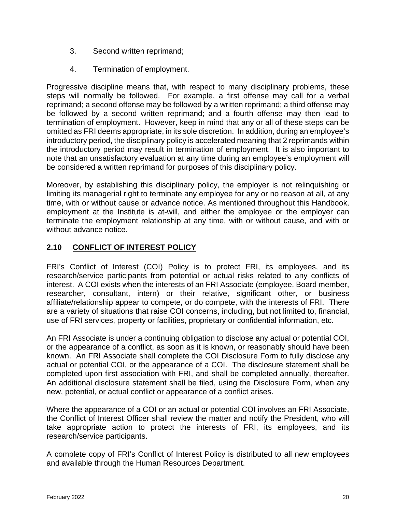- 3. Second written reprimand;
- 4. Termination of employment.

Progressive discipline means that, with respect to many disciplinary problems, these steps will normally be followed. For example, a first offense may call for a verbal reprimand; a second offense may be followed by a written reprimand; a third offense may be followed by a second written reprimand; and a fourth offense may then lead to termination of employment. However, keep in mind that any or all of these steps can be omitted as FRI deems appropriate, in its sole discretion. In addition, during an employee's introductory period, the disciplinary policy is accelerated meaning that 2 reprimands within the introductory period may result in termination of employment. It is also important to note that an unsatisfactory evaluation at any time during an employee's employment will be considered a written reprimand for purposes of this disciplinary policy.

Moreover, by establishing this disciplinary policy, the employer is not relinquishing or limiting its managerial right to terminate any employee for any or no reason at all, at any time, with or without cause or advance notice. As mentioned throughout this Handbook, employment at the Institute is at-will, and either the employee or the employer can terminate the employment relationship at any time, with or without cause, and with or without advance notice.

## <span id="page-19-0"></span>**2.10 CONFLICT OF INTEREST POLICY**

FRI's Conflict of Interest (COI) Policy is to protect FRI, its employees, and its research/service participants from potential or actual risks related to any conflicts of interest. A COI exists when the interests of an FRI Associate (employee, Board member, researcher, consultant, intern) or their relative, significant other, or business affiliate/relationship appear to compete, or do compete, with the interests of FRI. There are a variety of situations that raise COI concerns, including, but not limited to, financial, use of FRI services, property or facilities, proprietary or confidential information, etc.

An FRI Associate is under a continuing obligation to disclose any actual or potential COI, or the appearance of a conflict, as soon as it is known, or reasonably should have been known. An FRI Associate shall complete the COI Disclosure Form to fully disclose any actual or potential COI, or the appearance of a COI. The disclosure statement shall be completed upon first association with FRI, and shall be completed annually, thereafter. An additional disclosure statement shall be filed, using the Disclosure Form, when any new, potential, or actual conflict or appearance of a conflict arises.

Where the appearance of a COI or an actual or potential COI involves an FRI Associate, the Conflict of Interest Officer shall review the matter and notify the President, who will take appropriate action to protect the interests of FRI, its employees, and its research/service participants.

A complete copy of FRI's Conflict of Interest Policy is distributed to all new employees and available through the Human Resources Department.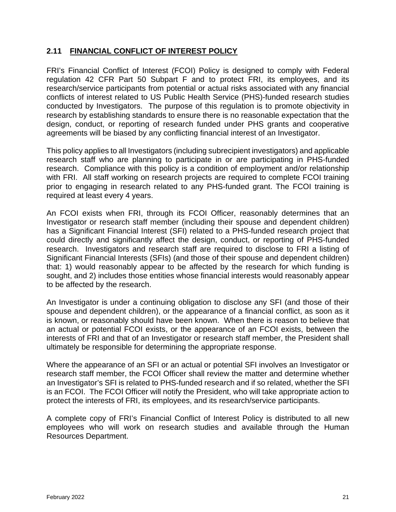#### <span id="page-20-0"></span>**2.11 FINANCIAL CONFLICT OF INTEREST POLICY**

FRI's Financial Conflict of Interest (FCOI) Policy is designed to comply with Federal regulation 42 CFR Part 50 Subpart F and to protect FRI, its employees, and its research/service participants from potential or actual risks associated with any financial conflicts of interest related to US Public Health Service (PHS)-funded research studies conducted by Investigators. The purpose of this regulation is to promote objectivity in research by establishing standards to ensure there is no reasonable expectation that the design, conduct, or reporting of research funded under PHS grants and cooperative agreements will be biased by any conflicting financial interest of an Investigator.

This policy applies to all Investigators (including subrecipient investigators) and applicable research staff who are planning to participate in or are participating in PHS-funded research. Compliance with this policy is a condition of employment and/or relationship with FRI. All staff working on research projects are required to complete FCOI training prior to engaging in research related to any PHS-funded grant. The FCOI training is required at least every 4 years.

An FCOI exists when FRI, through its FCOI Officer, reasonably determines that an Investigator or research staff member (including their spouse and dependent children) has a Significant Financial Interest (SFI) related to a PHS-funded research project that could directly and significantly affect the design, conduct, or reporting of PHS-funded research. Investigators and research staff are required to disclose to FRI a listing of Significant Financial Interests (SFIs) (and those of their spouse and dependent children) that: 1) would reasonably appear to be affected by the research for which funding is sought, and 2) includes those entities whose financial interests would reasonably appear to be affected by the research.

An Investigator is under a continuing obligation to disclose any SFI (and those of their spouse and dependent children), or the appearance of a financial conflict, as soon as it is known, or reasonably should have been known. When there is reason to believe that an actual or potential FCOI exists, or the appearance of an FCOI exists, between the interests of FRI and that of an Investigator or research staff member, the President shall ultimately be responsible for determining the appropriate response.

Where the appearance of an SFI or an actual or potential SFI involves an Investigator or research staff member, the FCOI Officer shall review the matter and determine whether an Investigator's SFI is related to PHS-funded research and if so related, whether the SFI is an FCOI. The FCOI Officer will notify the President, who will take appropriate action to protect the interests of FRI, its employees, and its research/service participants.

A complete copy of FRI's Financial Conflict of Interest Policy is distributed to all new employees who will work on research studies and available through the Human Resources Department.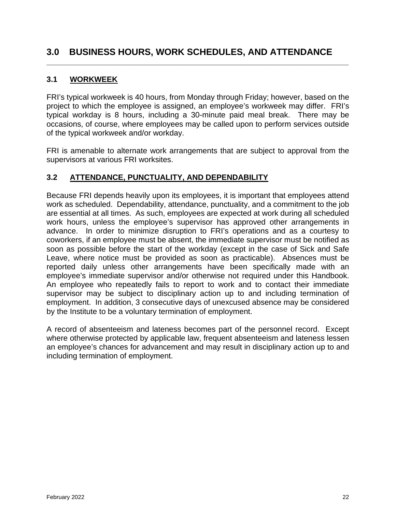# <span id="page-21-0"></span>**3.0 BUSINESS HOURS, WORK SCHEDULES, AND ATTENDANCE**

**\_\_\_\_\_\_\_\_\_\_\_\_\_\_\_\_\_\_\_\_\_\_\_\_\_\_\_\_\_\_\_\_\_\_\_\_\_\_\_\_\_\_\_\_\_\_\_\_\_\_\_\_\_\_\_\_\_\_\_\_\_\_\_\_\_\_\_\_\_\_**

#### <span id="page-21-1"></span>**3.1 WORKWEEK**

FRI's typical workweek is 40 hours, from Monday through Friday; however, based on the project to which the employee is assigned, an employee's workweek may differ. FRI's typical workday is 8 hours, including a 30-minute paid meal break. There may be occasions, of course, where employees may be called upon to perform services outside of the typical workweek and/or workday.

FRI is amenable to alternate work arrangements that are subject to approval from the supervisors at various FRI worksites.

#### <span id="page-21-2"></span>**3.2 ATTENDANCE, PUNCTUALITY, AND DEPENDABILITY**

Because FRI depends heavily upon its employees, it is important that employees attend work as scheduled. Dependability, attendance, punctuality, and a commitment to the job are essential at all times. As such, employees are expected at work during all scheduled work hours, unless the employee's supervisor has approved other arrangements in advance. In order to minimize disruption to FRI's operations and as a courtesy to coworkers, if an employee must be absent, the immediate supervisor must be notified as soon as possible before the start of the workday (except in the case of Sick and Safe Leave, where notice must be provided as soon as practicable). Absences must be reported daily unless other arrangements have been specifically made with an employee's immediate supervisor and/or otherwise not required under this Handbook. An employee who repeatedly fails to report to work and to contact their immediate supervisor may be subject to disciplinary action up to and including termination of employment. In addition, 3 consecutive days of unexcused absence may be considered by the Institute to be a voluntary termination of employment.

A record of absenteeism and lateness becomes part of the personnel record. Except where otherwise protected by applicable law, frequent absenteeism and lateness lessen an employee's chances for advancement and may result in disciplinary action up to and including termination of employment.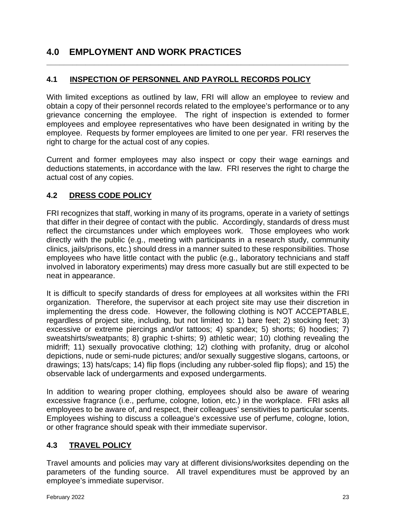# <span id="page-22-0"></span>**4.0 EMPLOYMENT AND WORK PRACTICES**

## <span id="page-22-1"></span>**4.1 INSPECTION OF PERSONNEL AND PAYROLL RECORDS POLICY**

With limited exceptions as outlined by law, FRI will allow an employee to review and obtain a copy of their personnel records related to the employee's performance or to any grievance concerning the employee. The right of inspection is extended to former employees and employee representatives who have been designated in writing by the employee. Requests by former employees are limited to one per year. FRI reserves the right to charge for the actual cost of any copies.

**\_\_\_\_\_\_\_\_\_\_\_\_\_\_\_\_\_\_\_\_\_\_\_\_\_\_\_\_\_\_\_\_\_\_\_\_\_\_\_\_\_\_\_\_\_\_\_\_\_\_\_\_\_\_\_\_\_\_\_\_\_\_\_\_\_\_\_\_\_\_**

Current and former employees may also inspect or copy their wage earnings and deductions statements, in accordance with the law. FRI reserves the right to charge the actual cost of any copies.

#### <span id="page-22-2"></span>**4.2 DRESS CODE POLICY**

FRI recognizes that staff, working in many of its programs, operate in a variety of settings that differ in their degree of contact with the public. Accordingly, standards of dress must reflect the circumstances under which employees work. Those employees who work directly with the public (e.g., meeting with participants in a research study, community clinics, jails/prisons, etc.) should dress in a manner suited to these responsibilities. Those employees who have little contact with the public (e.g., laboratory technicians and staff involved in laboratory experiments) may dress more casually but are still expected to be neat in appearance.

It is difficult to specify standards of dress for employees at all worksites within the FRI organization. Therefore, the supervisor at each project site may use their discretion in implementing the dress code. However, the following clothing is NOT ACCEPTABLE, regardless of project site, including, but not limited to: 1) bare feet; 2) stocking feet; 3) excessive or extreme piercings and/or tattoos; 4) spandex; 5) shorts; 6) hoodies; 7) sweatshirts/sweatpants; 8) graphic t-shirts; 9) athletic wear; 10) clothing revealing the midriff; 11) sexually provocative clothing; 12) clothing with profanity, drug or alcohol depictions, nude or semi-nude pictures; and/or sexually suggestive slogans, cartoons, or drawings; 13) hats/caps; 14) flip flops (including any rubber-soled flip flops); and 15) the observable lack of undergarments and exposed undergarments.

In addition to wearing proper clothing, employees should also be aware of wearing excessive fragrance (i.e., perfume, cologne, lotion, etc.) in the workplace. FRI asks all employees to be aware of, and respect, their colleagues' sensitivities to particular scents. Employees wishing to discuss a colleague's excessive use of perfume, cologne, lotion, or other fragrance should speak with their immediate supervisor.

#### <span id="page-22-3"></span>**4.3 TRAVEL POLICY**

Travel amounts and policies may vary at different divisions/worksites depending on the parameters of the funding source. All travel expenditures must be approved by an employee's immediate supervisor.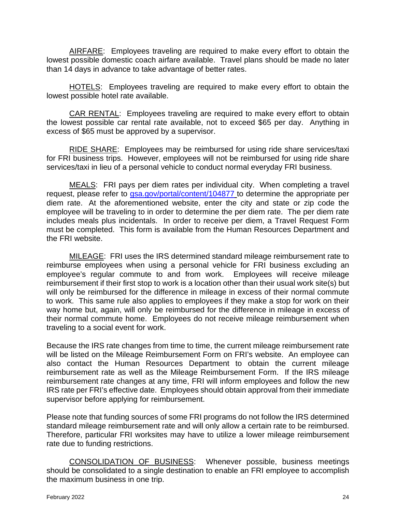AIRFARE: Employees traveling are required to make every effort to obtain the lowest possible domestic coach airfare available. Travel plans should be made no later than 14 days in advance to take advantage of better rates.

HOTELS: Employees traveling are required to make every effort to obtain the lowest possible hotel rate available.

CAR RENTAL: Employees traveling are required to make every effort to obtain the lowest possible car rental rate available, not to exceed \$65 per day. Anything in excess of \$65 must be approved by a supervisor.

RIDE SHARE: Employees may be reimbursed for using ride share services/taxi for FRI business trips. However, employees will not be reimbursed for using ride share services/taxi in lieu of a personal vehicle to conduct normal everyday FRI business.

MEALS: FRI pays per diem rates per individual city. When completing a travel request, please refer to [gsa.gov/portal/content/104877](http://www.gsa.gov/portal/content/104877) to determine the appropriate per diem rate. At the aforementioned website, enter the city and state or zip code the employee will be traveling to in order to determine the per diem rate. The per diem rate includes meals plus incidentals. In order to receive per diem, a Travel Request Form must be completed. This form is available from the Human Resources Department and the FRI website.

MILEAGE: FRI uses the IRS determined standard mileage reimbursement rate to reimburse employees when using a personal vehicle for FRI business excluding an employee's regular commute to and from work. Employees will receive mileage reimbursement if their first stop to work is a location other than their usual work site(s) but will only be reimbursed for the difference in mileage in excess of their normal commute to work. This same rule also applies to employees if they make a stop for work on their way home but, again, will only be reimbursed for the difference in mileage in excess of their normal commute home. Employees do not receive mileage reimbursement when traveling to a social event for work.

Because the IRS rate changes from time to time, the current mileage reimbursement rate will be listed on the Mileage Reimbursement Form on FRI's website. An employee can also contact the Human Resources Department to obtain the current mileage reimbursement rate as well as the Mileage Reimbursement Form. If the IRS mileage reimbursement rate changes at any time, FRI will inform employees and follow the new IRS rate per FRI's effective date. Employees should obtain approval from their immediate supervisor before applying for reimbursement.

Please note that funding sources of some FRI programs do not follow the IRS determined standard mileage reimbursement rate and will only allow a certain rate to be reimbursed. Therefore, particular FRI worksites may have to utilize a lower mileage reimbursement rate due to funding restrictions.

CONSOLIDATION OF BUSINESS: Whenever possible, business meetings should be consolidated to a single destination to enable an FRI employee to accomplish the maximum business in one trip.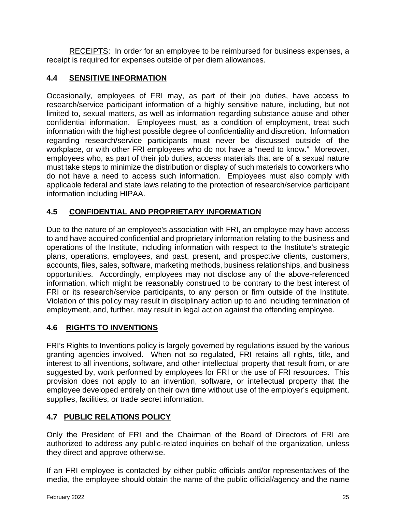RECEIPTS: In order for an employee to be reimbursed for business expenses, a receipt is required for expenses outside of per diem allowances.

# <span id="page-24-0"></span>**4.4 SENSITIVE INFORMATION**

Occasionally, employees of FRI may, as part of their job duties, have access to research/service participant information of a highly sensitive nature, including, but not limited to, sexual matters, as well as information regarding substance abuse and other confidential information. Employees must, as a condition of employment, treat such information with the highest possible degree of confidentiality and discretion. Information regarding research/service participants must never be discussed outside of the workplace, or with other FRI employees who do not have a "need to know." Moreover, employees who, as part of their job duties, access materials that are of a sexual nature must take steps to minimize the distribution or display of such materials to coworkers who do not have a need to access such information. Employees must also comply with applicable federal and state laws relating to the protection of research/service participant information including HIPAA.

# <span id="page-24-1"></span>**4.5 CONFIDENTIAL AND PROPRIETARY INFORMATION**

Due to the nature of an employee's association with FRI, an employee may have access to and have acquired confidential and proprietary information relating to the business and operations of the Institute, including information with respect to the Institute's strategic plans, operations, employees, and past, present, and prospective clients, customers, accounts, files, sales, software, marketing methods, business relationships, and business opportunities. Accordingly, employees may not disclose any of the above-referenced information, which might be reasonably construed to be contrary to the best interest of FRI or its research/service participants, to any person or firm outside of the Institute. Violation of this policy may result in disciplinary action up to and including termination of employment, and, further, may result in legal action against the offending employee.

# <span id="page-24-2"></span>**4.6 RIGHTS TO INVENTIONS**

FRI's Rights to Inventions policy is largely governed by regulations issued by the various granting agencies involved. When not so regulated, FRI retains all rights, title, and interest to all inventions, software, and other intellectual property that result from, or are suggested by, work performed by employees for FRI or the use of FRI resources. This provision does not apply to an invention, software, or intellectual property that the employee developed entirely on their own time without use of the employer's equipment, supplies, facilities, or trade secret information.

# <span id="page-24-3"></span>**4.7 PUBLIC RELATIONS POLICY**

Only the President of FRI and the Chairman of the Board of Directors of FRI are authorized to address any public-related inquiries on behalf of the organization, unless they direct and approve otherwise.

If an FRI employee is contacted by either public officials and/or representatives of the media, the employee should obtain the name of the public official/agency and the name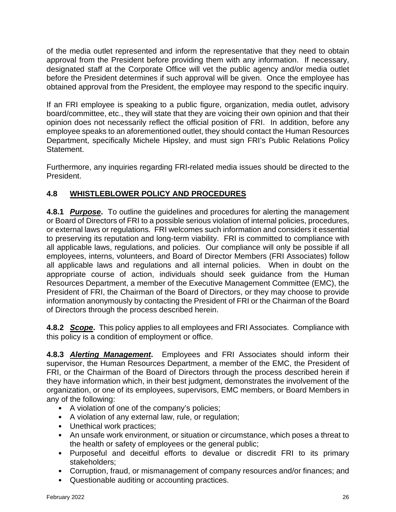of the media outlet represented and inform the representative that they need to obtain approval from the President before providing them with any information. If necessary, designated staff at the Corporate Office will vet the public agency and/or media outlet before the President determines if such approval will be given. Once the employee has obtained approval from the President, the employee may respond to the specific inquiry.

If an FRI employee is speaking to a public figure, organization, media outlet, advisory board/committee, etc., they will state that they are voicing their own opinion and that their opinion does not necessarily reflect the official position of FRI. In addition, before any employee speaks to an aforementioned outlet, they should contact the Human Resources Department, specifically Michele Hipsley, and must sign FRI's Public Relations Policy Statement.

Furthermore, any inquiries regarding FRI-related media issues should be directed to the President.

# <span id="page-25-0"></span>**4.8 WHISTLEBLOWER POLICY AND PROCEDURES**

**4.8.1** *Purpose***.** To outline the guidelines and procedures for alerting the management or Board of Directors of FRI to a possible serious violation of internal policies, procedures, or external laws or regulations. FRI welcomes such information and considers it essential to preserving its reputation and long-term viability. FRI is committed to compliance with all applicable laws, regulations, and policies. Our compliance will only be possible if all employees, interns, volunteers, and Board of Director Members (FRI Associates) follow all applicable laws and regulations and all internal policies. When in doubt on the appropriate course of action, individuals should seek guidance from the Human Resources Department, a member of the Executive Management Committee (EMC), the President of FRI, the Chairman of the Board of Directors, or they may choose to provide information anonymously by contacting the President of FRI or the Chairman of the Board of Directors through the process described herein.

**4.8.2** *Scope***.** This policy applies to all employees and FRI Associates. Compliance with this policy is a condition of employment or office.

**4.8.3** *Alerting Management***.** Employees and FRI Associates should inform their supervisor, the Human Resources Department, a member of the EMC, the President of FRI, or the Chairman of the Board of Directors through the process described herein if they have information which, in their best judgment, demonstrates the involvement of the organization, or one of its employees, supervisors, EMC members, or Board Members in any of the following:

- A violation of one of the company's policies;
- A violation of any external law, rule, or regulation;
- Unethical work practices;
- An unsafe work environment, or situation or circumstance, which poses a threat to the health or safety of employees or the general public;
- Purposeful and deceitful efforts to devalue or discredit FRI to its primary stakeholders;
- Corruption, fraud, or mismanagement of company resources and/or finances; and
- Questionable auditing or accounting practices.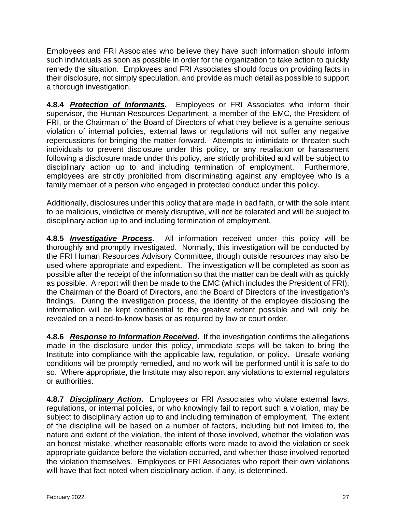Employees and FRI Associates who believe they have such information should inform such individuals as soon as possible in order for the organization to take action to quickly remedy the situation. Employees and FRI Associates should focus on providing facts in their disclosure, not simply speculation, and provide as much detail as possible to support a thorough investigation.

**4.8.4** *Protection of Informants***.** Employees or FRI Associates who inform their supervisor, the Human Resources Department, a member of the EMC, the President of FRI, or the Chairman of the Board of Directors of what they believe is a genuine serious violation of internal policies, external laws or regulations will not suffer any negative repercussions for bringing the matter forward. Attempts to intimidate or threaten such individuals to prevent disclosure under this policy, or any retaliation or harassment following a disclosure made under this policy, are strictly prohibited and will be subject to disciplinary action up to and including termination of employment. Furthermore, employees are strictly prohibited from discriminating against any employee who is a family member of a person who engaged in protected conduct under this policy.

Additionally, disclosures under this policy that are made in bad faith, or with the sole intent to be malicious, vindictive or merely disruptive, will not be tolerated and will be subject to disciplinary action up to and including termination of employment.

**4.8.5** *Investigative Process***.** All information received under this policy will be thoroughly and promptly investigated. Normally, this investigation will be conducted by the FRI Human Resources Advisory Committee, though outside resources may also be used where appropriate and expedient. The investigation will be completed as soon as possible after the receipt of the information so that the matter can be dealt with as quickly as possible. A report will then be made to the EMC (which includes the President of FRI), the Chairman of the Board of Directors, and the Board of Directors of the investigation's findings. During the investigation process, the identity of the employee disclosing the information will be kept confidential to the greatest extent possible and will only be revealed on a need-to-know basis or as required by law or court order.

**4.8.6** *Response to Information Received***.** If the investigation confirms the allegations made in the disclosure under this policy, immediate steps will be taken to bring the Institute into compliance with the applicable law, regulation, or policy. Unsafe working conditions will be promptly remedied, and no work will be performed until it is safe to do so. Where appropriate, the Institute may also report any violations to external regulators or authorities.

**4.8.7** *Disciplinary Action***.** Employees or FRI Associates who violate external laws, regulations, or internal policies, or who knowingly fail to report such a violation, may be subject to disciplinary action up to and including termination of employment. The extent of the discipline will be based on a number of factors, including but not limited to, the nature and extent of the violation, the intent of those involved, whether the violation was an honest mistake, whether reasonable efforts were made to avoid the violation or seek appropriate guidance before the violation occurred, and whether those involved reported the violation themselves. Employees or FRI Associates who report their own violations will have that fact noted when disciplinary action, if any, is determined.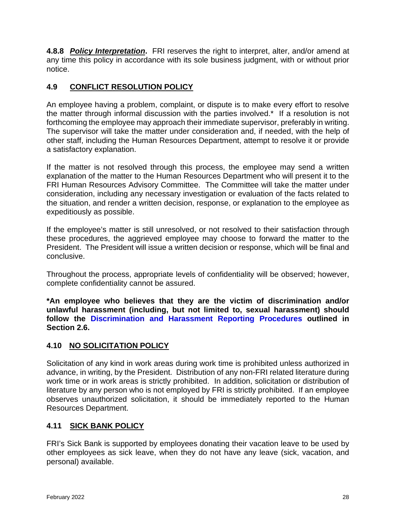**4.8.8** *Policy Interpretation***.** FRI reserves the right to interpret, alter, and/or amend at any time this policy in accordance with its sole business judgment, with or without prior notice.

# <span id="page-27-0"></span>**4.9 CONFLICT RESOLUTION POLICY**

An employee having a problem, complaint, or dispute is to make every effort to resolve the matter through informal discussion with the parties involved.\* If a resolution is not forthcoming the employee may approach their immediate supervisor, preferably in writing. The supervisor will take the matter under consideration and, if needed, with the help of other staff, including the Human Resources Department, attempt to resolve it or provide a satisfactory explanation.

If the matter is not resolved through this process, the employee may send a written explanation of the matter to the Human Resources Department who will present it to the FRI Human Resources Advisory Committee. The Committee will take the matter under consideration, including any necessary investigation or evaluation of the facts related to the situation, and render a written decision, response, or explanation to the employee as expeditiously as possible.

If the employee's matter is still unresolved, or not resolved to their satisfaction through these procedures, the aggrieved employee may choose to forward the matter to the President. The President will issue a written decision or response, which will be final and conclusive.

Throughout the process, appropriate levels of confidentiality will be observed; however, complete confidentiality cannot be assured.

**\*An employee who believes that they are the victim of discrimination and/or unlawful harassment (including, but not limited to, sexual harassment) should follow the [Discrimination and Harassment Reporting Procedures](#page-14-0) outlined in Section 2.6.**

# <span id="page-27-1"></span>**4.10 NO SOLICITATION POLICY**

Solicitation of any kind in work areas during work time is prohibited unless authorized in advance, in writing, by the President. Distribution of any non-FRI related literature during work time or in work areas is strictly prohibited. In addition, solicitation or distribution of literature by any person who is not employed by FRI is strictly prohibited. If an employee observes unauthorized solicitation, it should be immediately reported to the Human Resources Department.

# <span id="page-27-2"></span>**4.11 SICK BANK POLICY**

FRI's Sick Bank is supported by employees donating their vacation leave to be used by other employees as sick leave, when they do not have any leave (sick, vacation, and personal) available.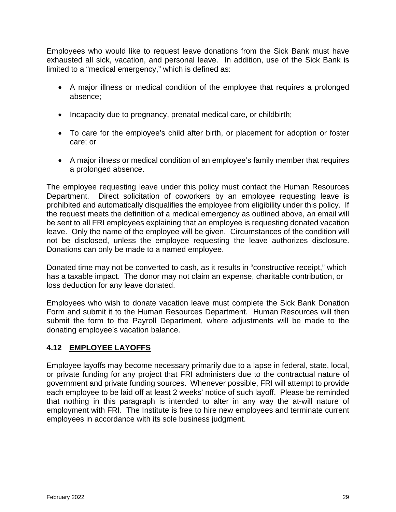Employees who would like to request leave donations from the Sick Bank must have exhausted all sick, vacation, and personal leave. In addition, use of the Sick Bank is limited to a "medical emergency," which is defined as:

- A major illness or medical condition of the employee that requires a prolonged absence;
- Incapacity due to pregnancy, prenatal medical care, or childbirth;
- To care for the employee's child after birth, or placement for adoption or foster care; or
- A major illness or medical condition of an employee's family member that requires a prolonged absence.

The employee requesting leave under this policy must contact the Human Resources Department. Direct solicitation of coworkers by an employee requesting leave is prohibited and automatically disqualifies the employee from eligibility under this policy. If the request meets the definition of a medical emergency as outlined above, an email will be sent to all FRI employees explaining that an employee is requesting donated vacation leave. Only the name of the employee will be given. Circumstances of the condition will not be disclosed, unless the employee requesting the leave authorizes disclosure. Donations can only be made to a named employee.

Donated time may not be converted to cash, as it results in "constructive receipt," which has a taxable impact. The donor may not claim an expense, charitable contribution, or loss deduction for any leave donated.

Employees who wish to donate vacation leave must complete the Sick Bank Donation Form and submit it to the Human Resources Department. Human Resources will then submit the form to the Payroll Department, where adjustments will be made to the donating employee's vacation balance.

# <span id="page-28-0"></span>**4.12 EMPLOYEE LAYOFFS**

<span id="page-28-1"></span>Employee layoffs may become necessary primarily due to a lapse in federal, state, local, or private funding for any project that FRI administers due to the contractual nature of government and private funding sources. Whenever possible, FRI will attempt to provide each employee to be laid off at least 2 weeks' notice of such layoff. Please be reminded that nothing in this paragraph is intended to alter in any way the at-will nature of employment with FRI. The Institute is free to hire new employees and terminate current employees in accordance with its sole business judgment.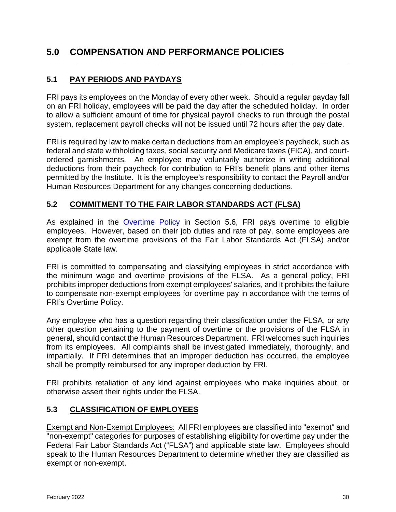# **5.0 COMPENSATION AND PERFORMANCE POLICIES**

# <span id="page-29-0"></span>**5.1 PAY PERIODS AND PAYDAYS**

FRI pays its employees on the Monday of every other week. Should a regular payday fall on an FRI holiday, employees will be paid the day after the scheduled holiday. In order to allow a sufficient amount of time for physical payroll checks to run through the postal system, replacement payroll checks will not be issued until 72 hours after the pay date.

**\_\_\_\_\_\_\_\_\_\_\_\_\_\_\_\_\_\_\_\_\_\_\_\_\_\_\_\_\_\_\_\_\_\_\_\_\_\_\_\_\_\_\_\_\_\_\_\_\_\_\_\_\_\_\_\_\_\_\_\_\_\_\_\_\_\_\_\_\_\_**

FRI is required by law to make certain deductions from an employee's paycheck, such as federal and state withholding taxes, social security and Medicare taxes (FICA), and courtordered garnishments. An employee may voluntarily authorize in writing additional deductions from their paycheck for contribution to FRI's benefit plans and other items permitted by the Institute. It is the employee's responsibility to contact the Payroll and/or Human Resources Department for any changes concerning deductions.

#### <span id="page-29-1"></span>**5.2 COMMITMENT TO THE FAIR LABOR STANDARDS ACT (FLSA)**

As explained in the [Overtime Policy](#page-31-0) in Section 5.6, FRI pays overtime to eligible employees. However, based on their job duties and rate of pay, some employees are exempt from the overtime provisions of the Fair Labor Standards Act (FLSA) and/or applicable State law.

FRI is committed to compensating and classifying employees in strict accordance with the minimum wage and overtime provisions of the FLSA. As a general policy, FRI prohibits improper deductions from exempt employees' salaries, and it prohibits the failure to compensate non-exempt employees for overtime pay in accordance with the terms of FRI's Overtime Policy.

Any employee who has a question regarding their classification under the FLSA, or any other question pertaining to the payment of overtime or the provisions of the FLSA in general, should contact the Human Resources Department. FRI welcomes such inquiries from its employees. All complaints shall be investigated immediately, thoroughly, and impartially. If FRI determines that an improper deduction has occurred, the employee shall be promptly reimbursed for any improper deduction by FRI.

FRI prohibits retaliation of any kind against employees who make inquiries about, or otherwise assert their rights under the FLSA.

#### <span id="page-29-2"></span>**5.3 CLASSIFICATION OF EMPLOYEES**

Exempt and Non-Exempt Employees: All FRI employees are classified into "exempt" and "non-exempt" categories for purposes of establishing eligibility for overtime pay under the Federal Fair Labor Standards Act ("FLSA") and applicable state law. Employees should speak to the Human Resources Department to determine whether they are classified as exempt or non-exempt.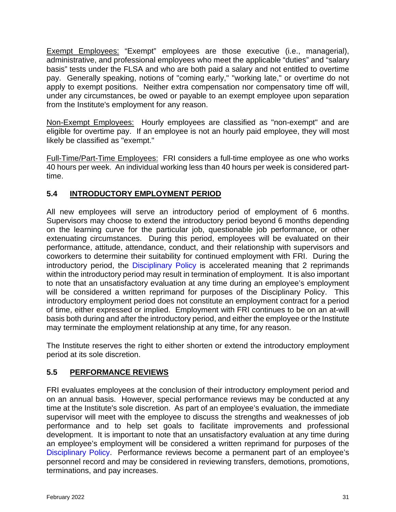Exempt Employees: "Exempt" employees are those executive (i.e., managerial), administrative, and professional employees who meet the applicable "duties" and "salary basis" tests under the FLSA and who are both paid a salary and not entitled to overtime pay. Generally speaking, notions of "coming early," "working late," or overtime do not apply to exempt positions. Neither extra compensation nor compensatory time off will, under any circumstances, be owed or payable to an exempt employee upon separation from the Institute's employment for any reason.

Non-Exempt Employees: Hourly employees are classified as "non-exempt" and are eligible for overtime pay. If an employee is not an hourly paid employee, they will most likely be classified as "exempt."

Full-Time/Part-Time Employees: FRI considers a full-time employee as one who works 40 hours per week. An individual working less than 40 hours per week is considered parttime.

# <span id="page-30-0"></span>**5.4 INTRODUCTORY EMPLOYMENT PERIOD**

All new employees will serve an introductory period of employment of 6 months. Supervisors may choose to extend the introductory period beyond 6 months depending on the learning curve for the particular job, questionable job performance, or other extenuating circumstances. During this period, employees will be evaluated on their performance, attitude, attendance, conduct, and their relationship with supervisors and coworkers to determine their suitability for continued employment with FRI. During the introductory period, the [Disciplinary Policy](#page-18-0) is accelerated meaning that 2 reprimands within the introductory period may result in termination of employment. It is also important to note that an unsatisfactory evaluation at any time during an employee's employment will be considered a written reprimand for purposes of the Disciplinary Policy. This introductory employment period does not constitute an employment contract for a period of time, either expressed or implied. Employment with FRI continues to be on an at-will basis both during and after the introductory period, and either the employee or the Institute may terminate the employment relationship at any time, for any reason.

The Institute reserves the right to either shorten or extend the introductory employment period at its sole discretion.

# <span id="page-30-1"></span>**5.5 PERFORMANCE REVIEWS**

FRI evaluates employees at the conclusion of their introductory employment period and on an annual basis. However, special performance reviews may be conducted at any time at the Institute's sole discretion. As part of an employee's evaluation, the immediate supervisor will meet with the employee to discuss the strengths and weaknesses of job performance and to help set goals to facilitate improvements and professional development. It is important to note that an unsatisfactory evaluation at any time during an employee's employment will be considered a written reprimand for purposes of the [Disciplinary Policy.](#page-18-0) Performance reviews become a permanent part of an employee's personnel record and may be considered in reviewing transfers, demotions, promotions, terminations, and pay increases.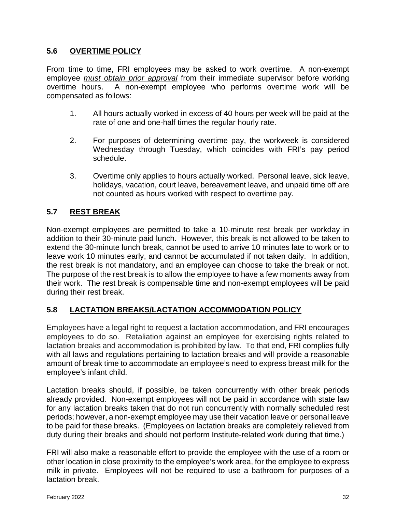#### <span id="page-31-0"></span>**5.6 OVERTIME POLICY**

From time to time, FRI employees may be asked to work overtime. A non-exempt employee *must obtain prior approval* from their immediate supervisor before working A non-exempt employee who performs overtime work will be compensated as follows:

- 1. All hours actually worked in excess of 40 hours per week will be paid at the rate of one and one-half times the regular hourly rate.
- 2. For purposes of determining overtime pay, the workweek is considered Wednesday through Tuesday, which coincides with FRI's pay period schedule.
- 3. Overtime only applies to hours actually worked. Personal leave, sick leave, holidays, vacation, court leave, bereavement leave, and unpaid time off are not counted as hours worked with respect to overtime pay.

## <span id="page-31-1"></span>**5.7 REST BREAK**

Non-exempt employees are permitted to take a 10-minute rest break per workday in addition to their 30-minute paid lunch. However, this break is not allowed to be taken to extend the 30-minute lunch break, cannot be used to arrive 10 minutes late to work or to leave work 10 minutes early, and cannot be accumulated if not taken daily. In addition, the rest break is not mandatory, and an employee can choose to take the break or not. The purpose of the rest break is to allow the employee to have a few moments away from their work. The rest break is compensable time and non-exempt employees will be paid during their rest break.

#### <span id="page-31-2"></span>**5.8 LACTATION BREAKS/LACTATION ACCOMMODATION POLICY**

Employees have a legal right to request a lactation accommodation, and FRI encourages employees to do so. Retaliation against an employee for exercising rights related to lactation breaks and accommodation is prohibited by law. To that end, FRI complies fully with all laws and regulations pertaining to lactation breaks and will provide a reasonable amount of break time to accommodate an employee's need to express breast milk for the employee's infant child.

Lactation breaks should, if possible, be taken concurrently with other break periods already provided. Non-exempt employees will not be paid in accordance with state law for any lactation breaks taken that do not run concurrently with normally scheduled rest periods; however, a non-exempt employee may use their vacation leave or personal leave to be paid for these breaks. (Employees on lactation breaks are completely relieved from duty during their breaks and should not perform Institute-related work during that time.)

FRI will also make a reasonable effort to provide the employee with the use of a room or other location in close proximity to the employee's work area, for the employee to express milk in private. Employees will not be required to use a bathroom for purposes of a lactation break.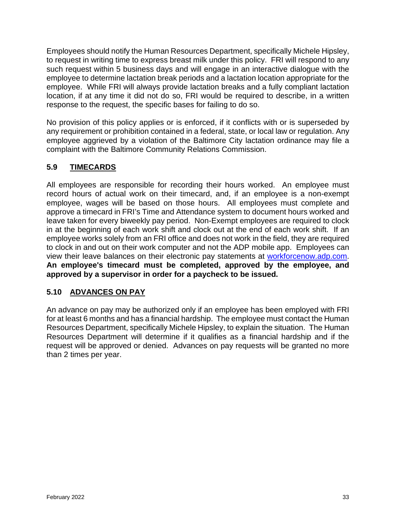Employees should notify the Human Resources Department, specifically Michele Hipsley, to request in writing time to express breast milk under this policy. FRI will respond to any such request within 5 business days and will engage in an interactive dialogue with the employee to determine lactation break periods and a lactation location appropriate for the employee. While FRI will always provide lactation breaks and a fully compliant lactation location, if at any time it did not do so, FRI would be required to describe, in a written response to the request, the specific bases for failing to do so.

No provision of this policy applies or is enforced, if it conflicts with or is superseded by any requirement or prohibition contained in a federal, state, or local law or regulation. Any employee aggrieved by a violation of the Baltimore City lactation ordinance may file a complaint with the Baltimore Community Relations Commission.

# <span id="page-32-0"></span>**5.9 TIMECARDS**

All employees are responsible for recording their hours worked. An employee must record hours of actual work on their timecard, and, if an employee is a non-exempt employee, wages will be based on those hours. All employees must complete and approve a timecard in FRI's Time and Attendance system to document hours worked and leave taken for every biweekly pay period. Non-Exempt employees are required to clock in at the beginning of each work shift and clock out at the end of each work shift. If an employee works solely from an FRI office and does not work in the field, they are required to clock in and out on their work computer and not the ADP mobile app. Employees can view their leave balances on their electronic pay statements at [workforcenow.adp.com.](https://workforcenow.adp.com/) **An employee's timecard must be completed, approved by the employee, and approved by a supervisor in order for a paycheck to be issued.** 

# <span id="page-32-1"></span>**5.10 ADVANCES ON PAY**

An advance on pay may be authorized only if an employee has been employed with FRI for at least 6 months and has a financial hardship. The employee must contact the Human Resources Department, specifically Michele Hipsley, to explain the situation. The Human Resources Department will determine if it qualifies as a financial hardship and if the request will be approved or denied. Advances on pay requests will be granted no more than 2 times per year.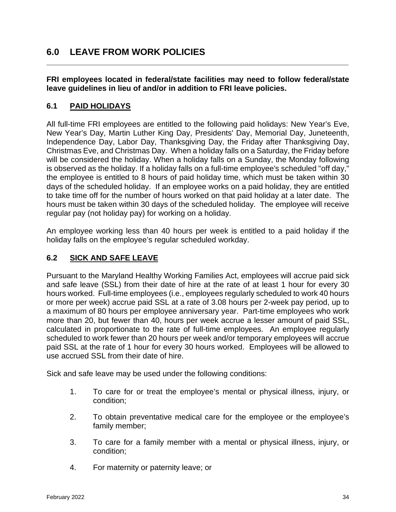# <span id="page-33-0"></span>**6.0 LEAVE FROM WORK POLICIES**

#### **FRI employees located in federal/state facilities may need to follow federal/state leave guidelines in lieu of and/or in addition to FRI leave policies.**

**\_\_\_\_\_\_\_\_\_\_\_\_\_\_\_\_\_\_\_\_\_\_\_\_\_\_\_\_\_\_\_\_\_\_\_\_\_\_\_\_\_\_\_\_\_\_\_\_\_\_\_\_\_\_\_\_\_\_\_\_\_\_\_\_\_\_\_\_\_\_**

#### <span id="page-33-1"></span>**6.1 PAID HOLIDAYS**

All full-time FRI employees are entitled to the following paid holidays: New Year's Eve, New Year's Day, Martin Luther King Day, Presidents' Day, Memorial Day, Juneteenth, Independence Day, Labor Day, Thanksgiving Day, the Friday after Thanksgiving Day, Christmas Eve, and Christmas Day. When a holiday falls on a Saturday, the Friday before will be considered the holiday. When a holiday falls on a Sunday, the Monday following is observed as the holiday. If a holiday falls on a full-time employee's scheduled "off day," the employee is entitled to 8 hours of paid holiday time, which must be taken within 30 days of the scheduled holiday. If an employee works on a paid holiday, they are entitled to take time off for the number of hours worked on that paid holiday at a later date. The hours must be taken within 30 days of the scheduled holiday. The employee will receive regular pay (not holiday pay) for working on a holiday.

An employee working less than 40 hours per week is entitled to a paid holiday if the holiday falls on the employee's regular scheduled workday.

#### <span id="page-33-2"></span>**6.2 SICK AND SAFE LEAVE**

Pursuant to the Maryland Healthy Working Families Act, employees will accrue paid sick and safe leave (SSL) from their date of hire at the rate of at least 1 hour for every 30 hours worked. Full-time employees (i.e., employees regularly scheduled to work 40 hours or more per week) accrue paid SSL at a rate of 3.08 hours per 2-week pay period, up to a maximum of 80 hours per employee anniversary year. Part-time employees who work more than 20, but fewer than 40, hours per week accrue a lesser amount of paid SSL, calculated in proportionate to the rate of full-time employees. An employee regularly scheduled to work fewer than 20 hours per week and/or temporary employees will accrue paid SSL at the rate of 1 hour for every 30 hours worked. Employees will be allowed to use accrued SSL from their date of hire.

Sick and safe leave may be used under the following conditions:

- 1. To care for or treat the employee's mental or physical illness, injury, or condition;
- 2. To obtain preventative medical care for the employee or the employee's family member;
- 3. To care for a family member with a mental or physical illness, injury, or condition;
- 4. For maternity or paternity leave; or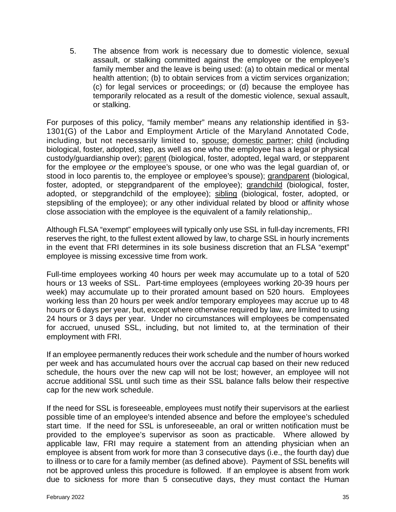5. The absence from work is necessary due to domestic violence, sexual assault, or stalking committed against the employee or the employee's family member and the leave is being used: (a) to obtain medical or mental health attention; (b) to obtain services from a victim services organization; (c) for legal services or proceedings; or (d) because the employee has temporarily relocated as a result of the domestic violence, sexual assault, or stalking.

For purposes of this policy, "family member" means any relationship identified in §3- 1301(G) of the Labor and Employment Article of the Maryland Annotated Code, including, but not necessarily limited to, spouse; domestic partner; child (including biological, foster, adopted, step, as well as one who the employee has a legal or physical custody/guardianship over); parent (biological, foster, adopted, legal ward, or stepparent for the employee *or* the employee's spouse, or one who was the legal guardian of, or stood in loco parentis to, the employee or employee's spouse); grandparent (biological, foster, adopted, or stepgrandparent of the employee); grandchild (biological, foster, adopted, or stepgrandchild of the employee); sibling (biological, foster, adopted, or stepsibling of the employee); or any other individual related by blood or affinity whose close association with the employee is the equivalent of a family relationship,.

Although FLSA "exempt" employees will typically only use SSL in full-day increments, FRI reserves the right, to the fullest extent allowed by law, to charge SSL in hourly increments in the event that FRI determines in its sole business discretion that an FLSA "exempt" employee is missing excessive time from work.

Full-time employees working 40 hours per week may accumulate up to a total of 520 hours or 13 weeks of SSL. Part-time employees (employees working 20-39 hours per week) may accumulate up to their prorated amount based on 520 hours. Employees working less than 20 hours per week and/or temporary employees may accrue up to 48 hours or 6 days per year, but, except where otherwise required by law, are limited to using 24 hours or 3 days per year. Under no circumstances will employees be compensated for accrued, unused SSL, including, but not limited to, at the termination of their employment with FRI.

If an employee permanently reduces their work schedule and the number of hours worked per week and has accumulated hours over the accrual cap based on their new reduced schedule, the hours over the new cap will not be lost; however, an employee will not accrue additional SSL until such time as their SSL balance falls below their respective cap for the new work schedule.

If the need for SSL is foreseeable, employees must notify their supervisors at the earliest possible time of an employee's intended absence and before the employee's scheduled start time. If the need for SSL is unforeseeable, an oral or written notification must be provided to the employee's supervisor as soon as practicable. Where allowed by applicable law, FRI may require a statement from an attending physician when an employee is absent from work for more than 3 consecutive days (i.e., the fourth day) due to illness or to care for a family member (as defined above). Payment of SSL benefits will not be approved unless this procedure is followed. If an employee is absent from work due to sickness for more than 5 consecutive days, they must contact the Human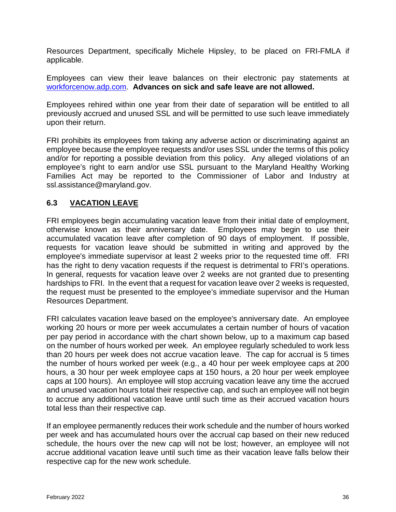Resources Department, specifically Michele Hipsley, to be placed on FRI-FMLA if applicable.

Employees can view their leave balances on their electronic pay statements at [workforcenow.adp.com.](https://workforcenow.adp.com/) **Advances on sick and safe leave are not allowed.**

Employees rehired within one year from their date of separation will be entitled to all previously accrued and unused SSL and will be permitted to use such leave immediately upon their return.

FRI prohibits its employees from taking any adverse action or discriminating against an employee because the employee requests and/or uses SSL under the terms of this policy and/or for reporting a possible deviation from this policy. Any alleged violations of an employee's right to earn and/or use SSL pursuant to the Maryland Healthy Working Families Act may be reported to the Commissioner of Labor and Industry at ssl.assistance@maryland.gov.

#### <span id="page-35-0"></span>**6.3 VACATION LEAVE**

FRI employees begin accumulating vacation leave from their initial date of employment, otherwise known as their anniversary date. Employees may begin to use their accumulated vacation leave after completion of 90 days of employment. If possible, requests for vacation leave should be submitted in writing and approved by the employee's immediate supervisor at least 2 weeks prior to the requested time off. FRI has the right to deny vacation requests if the request is detrimental to FRI's operations. In general, requests for vacation leave over 2 weeks are not granted due to presenting hardships to FRI. In the event that a request for vacation leave over 2 weeks is requested, the request must be presented to the employee's immediate supervisor and the Human Resources Department.

FRI calculates vacation leave based on the employee's anniversary date. An employee working 20 hours or more per week accumulates a certain number of hours of vacation per pay period in accordance with the chart shown below, up to a maximum cap based on the number of hours worked per week. An employee regularly scheduled to work less than 20 hours per week does not accrue vacation leave. The cap for accrual is 5 times the number of hours worked per week (e.g., a 40 hour per week employee caps at 200 hours, a 30 hour per week employee caps at 150 hours, a 20 hour per week employee caps at 100 hours). An employee will stop accruing vacation leave any time the accrued and unused vacation hours total their respective cap, and such an employee will not begin to accrue any additional vacation leave until such time as their accrued vacation hours total less than their respective cap.

If an employee permanently reduces their work schedule and the number of hours worked per week and has accumulated hours over the accrual cap based on their new reduced schedule, the hours over the new cap will not be lost; however, an employee will not accrue additional vacation leave until such time as their vacation leave falls below their respective cap for the new work schedule.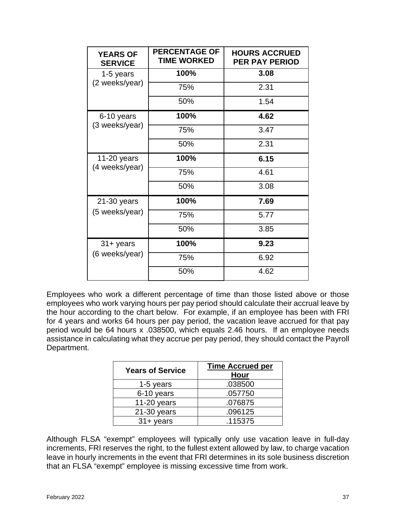| <b>YEARS OF</b><br><b>SERVICE</b> | <b>PERCENTAGE OF</b><br><b>TIME WORKED</b> | <b>HOURS ACCRUED</b><br><b>PER PAY PERIOD</b> |
|-----------------------------------|--------------------------------------------|-----------------------------------------------|
| 1-5 years                         | 100%                                       | 3.08                                          |
| (2 weeks/year)                    | 75%                                        | 2.31                                          |
|                                   | 50%                                        | 1.54                                          |
| 6-10 years                        | 100%                                       | 4.62                                          |
| (3 weeks/year)                    | 75%                                        | 3.47                                          |
|                                   | 50%                                        | 2.31                                          |
| 11-20 years                       | 100%                                       | 6.15                                          |
| (4 weeks/year)                    | 75%                                        | 4.61                                          |
|                                   | 50%                                        | 3.08                                          |
| 21-30 years                       | 100%                                       | 7.69                                          |
| (5 weeks/year)                    | 75%                                        | 5.77                                          |
|                                   | 50%                                        | 3.85                                          |
| $31 +$ years                      | 100%                                       | 9.23                                          |
| (6 weeks/year)                    | 75%                                        | 6.92                                          |
|                                   | 50%                                        | 4.62                                          |

Employees who work a different percentage of time than those listed above or those employees who work varying hours per pay period should calculate their accrual leave by the hour according to the chart below. For example, if an employee has been with FRI for 4 years and works 64 hours per pay period, the vacation leave accrued for that pay period would be 64 hours x .038500, which equals 2.46 hours. If an employee needs assistance in calculating what they accrue per pay period, they should contact the Payroll Department.

| <b>Years of Service</b> | <b>Time Accrued per</b><br>Hour |
|-------------------------|---------------------------------|
| 1-5 years               | .038500                         |
| 6-10 years              | .057750                         |
| 11-20 years             | .076875                         |
| $21-30$ years           | .096125                         |
| $31 + \gamma$ ears      | .115375                         |

Although FLSA "exempt" employees will typically only use vacation leave in full-day increments, FRI reserves the right, to the fullest extent allowed by law, to charge vacation leave in hourly increments in the event that FRI determines in its sole business discretion that an FLSA "exempt" employee is missing excessive time from work.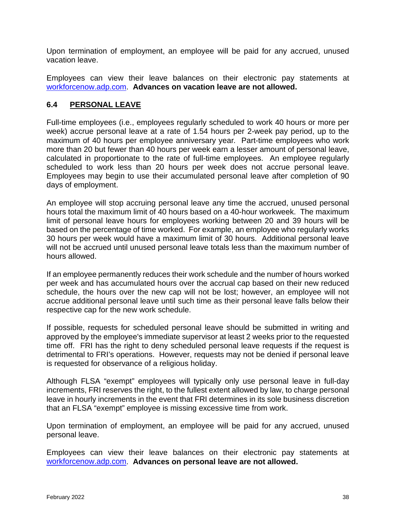Upon termination of employment, an employee will be paid for any accrued, unused vacation leave.

Employees can view their leave balances on their electronic pay statements at [workforcenow.adp.com.](https://workforcenow.adp.com/) **Advances on vacation leave are not allowed.**

#### <span id="page-37-0"></span>**6.4 PERSONAL LEAVE**

Full-time employees (i.e., employees regularly scheduled to work 40 hours or more per week) accrue personal leave at a rate of 1.54 hours per 2-week pay period, up to the maximum of 40 hours per employee anniversary year*.* Part-time employees who work more than 20 but fewer than 40 hours per week earn a lesser amount of personal leave, calculated in proportionate to the rate of full-time employees. An employee regularly scheduled to work less than 20 hours per week does not accrue personal leave. Employees may begin to use their accumulated personal leave after completion of 90 days of employment.

An employee will stop accruing personal leave any time the accrued, unused personal hours total the maximum limit of 40 hours based on a 40-hour workweek. The maximum limit of personal leave hours for employees working between 20 and 39 hours will be based on the percentage of time worked. For example, an employee who regularly works 30 hours per week would have a maximum limit of 30 hours. Additional personal leave will not be accrued until unused personal leave totals less than the maximum number of hours allowed.

If an employee permanently reduces their work schedule and the number of hours worked per week and has accumulated hours over the accrual cap based on their new reduced schedule, the hours over the new cap will not be lost; however, an employee will not accrue additional personal leave until such time as their personal leave falls below their respective cap for the new work schedule.

If possible, requests for scheduled personal leave should be submitted in writing and approved by the employee's immediate supervisor at least 2 weeks prior to the requested time off. FRI has the right to deny scheduled personal leave requests if the request is detrimental to FRI's operations. However, requests may not be denied if personal leave is requested for observance of a religious holiday.

Although FLSA "exempt" employees will typically only use personal leave in full-day increments, FRI reserves the right, to the fullest extent allowed by law, to charge personal leave in hourly increments in the event that FRI determines in its sole business discretion that an FLSA "exempt" employee is missing excessive time from work.

Upon termination of employment, an employee will be paid for any accrued, unused personal leave.

Employees can view their leave balances on their electronic pay statements at [workforcenow.adp.com.](https://workforcenow.adp.com/) **Advances on personal leave are not allowed.**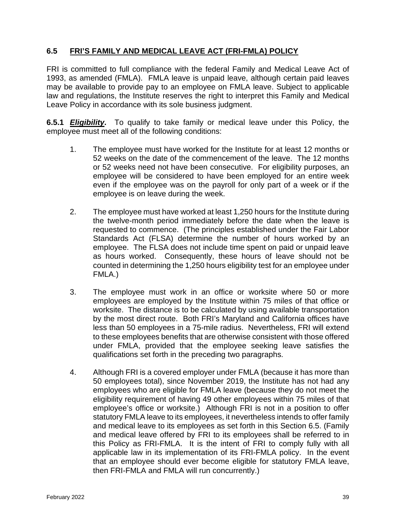#### <span id="page-38-0"></span>**6.5 FRI'S FAMILY AND MEDICAL LEAVE ACT (FRI-FMLA) POLICY**

FRI is committed to full compliance with the federal Family and Medical Leave Act of 1993, as amended (FMLA). FMLA leave is unpaid leave, although certain paid leaves may be available to provide pay to an employee on FMLA leave. Subject to applicable law and regulations, the Institute reserves the right to interpret this Family and Medical Leave Policy in accordance with its sole business judgment.

**6.5.1** *Eligibility***.** To qualify to take family or medical leave under this Policy, the employee must meet all of the following conditions:

- 1. The employee must have worked for the Institute for at least 12 months or 52 weeks on the date of the commencement of the leave. The 12 months or 52 weeks need not have been consecutive. For eligibility purposes, an employee will be considered to have been employed for an entire week even if the employee was on the payroll for only part of a week or if the employee is on leave during the week.
- 2. The employee must have worked at least 1,250 hours for the Institute during the twelve-month period immediately before the date when the leave is requested to commence. (The principles established under the Fair Labor Standards Act (FLSA) determine the number of hours worked by an employee. The FLSA does not include time spent on paid or unpaid leave as hours worked. Consequently, these hours of leave should not be counted in determining the 1,250 hours eligibility test for an employee under FMLA.)
- 3. The employee must work in an office or worksite where 50 or more employees are employed by the Institute within 75 miles of that office or worksite. The distance is to be calculated by using available transportation by the most direct route. Both FRI's Maryland and California offices have less than 50 employees in a 75-mile radius. Nevertheless, FRI will extend to these employees benefits that are otherwise consistent with those offered under FMLA, provided that the employee seeking leave satisfies the qualifications set forth in the preceding two paragraphs.
- 4. Although FRI is a covered employer under FMLA (because it has more than 50 employees total), since November 2019, the Institute has not had any employees who are eligible for FMLA leave (because they do not meet the eligibility requirement of having 49 other employees within 75 miles of that employee's office or worksite.) Although FRI is not in a position to offer statutory FMLA leave to its employees, it nevertheless intends to offer family and medical leave to its employees as set forth in this Section 6.5. (Family and medical leave offered by FRI to its employees shall be referred to in this Policy as FRI-FMLA. It is the intent of FRI to comply fully with all applicable law in its implementation of its FRI-FMLA policy. In the event that an employee should ever become eligible for statutory FMLA leave, then FRI-FMLA and FMLA will run concurrently.)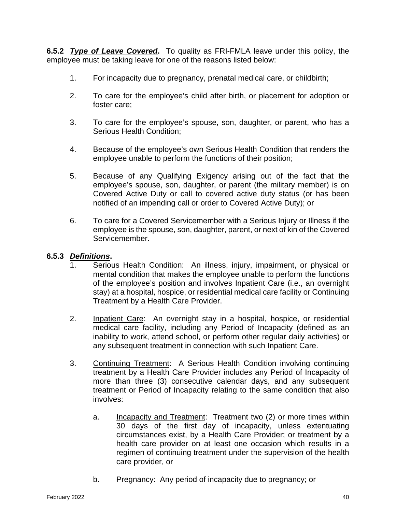**6.5.2** *Type of Leave Covered***.** To quality as FRI-FMLA leave under this policy, the employee must be taking leave for one of the reasons listed below:

- 1. For incapacity due to pregnancy, prenatal medical care, or childbirth;
- 2. To care for the employee's child after birth, or placement for adoption or foster care;
- 3. To care for the employee's spouse, son, daughter, or parent, who has a Serious Health Condition;
- 4. Because of the employee's own Serious Health Condition that renders the employee unable to perform the functions of their position;
- 5. Because of any Qualifying Exigency arising out of the fact that the employee's spouse, son, daughter, or parent (the military member) is on Covered Active Duty or call to covered active duty status (or has been notified of an impending call or order to Covered Active Duty); or
- 6. To care for a Covered Servicemember with a Serious Injury or Illness if the employee is the spouse, son, daughter, parent, or next of kin of the Covered Servicemember.

#### **6.5.3** *Definitions***.**

- 1. Serious Health Condition: An illness, injury, impairment, or physical or mental condition that makes the employee unable to perform the functions of the employee's position and involves Inpatient Care (i.e., an overnight stay) at a hospital, hospice, or residential medical care facility or Continuing Treatment by a Health Care Provider.
- 2. Inpatient Care: An overnight stay in a hospital, hospice, or residential medical care facility, including any Period of Incapacity (defined as an inability to work, attend school, or perform other regular daily activities) or any subsequent treatment in connection with such Inpatient Care.
- 3. Continuing Treatment: A Serious Health Condition involving continuing treatment by a Health Care Provider includes any Period of Incapacity of more than three (3) consecutive calendar days, and any subsequent treatment or Period of Incapacity relating to the same condition that also involves:
	- a. Incapacity and Treatment: Treatment two (2) or more times within 30 days of the first day of incapacity, unless extentuating circumstances exist, by a Health Care Provider; or treatment by a health care provider on at least one occasion which results in a regimen of continuing treatment under the supervision of the health care provider, or
	- b. Pregnancy: Any period of incapacity due to pregnancy; or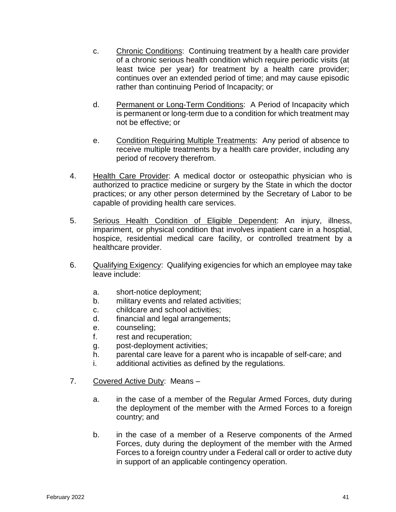- c. Chronic Conditions: Continuing treatment by a health care provider of a chronic serious health condition which require periodic visits (at least twice per year) for treatment by a health care provider; continues over an extended period of time; and may cause episodic rather than continuing Period of Incapacity; or
- d. Permanent or Long-Term Conditions: A Period of Incapacity which is permanent or long-term due to a condition for which treatment may not be effective; or
- e. Condition Requiring Multiple Treatments: Any period of absence to receive multiple treatments by a health care provider, including any period of recovery therefrom.
- 4. Health Care Provider: A medical doctor or osteopathic physician who is authorized to practice medicine or surgery by the State in which the doctor practices; or any other person determined by the Secretary of Labor to be capable of providing health care services.
- 5. Serious Health Condition of Eligible Dependent: An injury, illness, impariment, or physical condition that involves inpatient care in a hosptial, hospice, residential medical care facility, or controlled treatment by a healthcare provider.
- 6. Qualifying Exigency: Qualifying exigencies for which an employee may take leave include:
	- a. short-notice deployment;
	- b. military events and related activities;
	- c. childcare and school activities;
	- d. financial and legal arrangements;
	- e. counseling;
	- f. rest and recuperation;
	- g. post-deployment activities;
	- h. parental care leave for a parent who is incapable of self-care; and
	- i. additional activities as defined by the regulations.
- 7. Covered Active Duty: Means
	- a. in the case of a member of the Regular Armed Forces, duty during the deployment of the member with the Armed Forces to a foreign country; and
	- b. in the case of a member of a Reserve components of the Armed Forces, duty during the deployment of the member with the Armed Forces to a foreign country under a Federal call or order to active duty in support of an applicable contingency operation.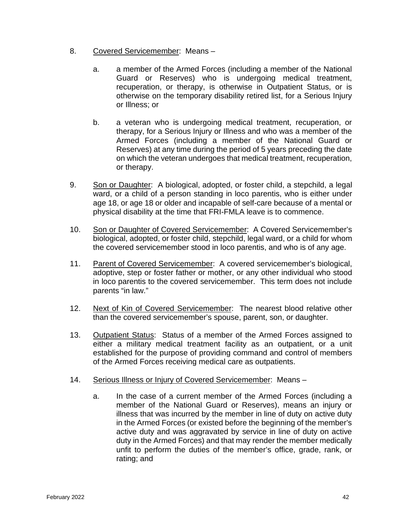- 8. Covered Servicemember: Means
	- a. a member of the Armed Forces (including a member of the National Guard or Reserves) who is undergoing medical treatment, recuperation, or therapy, is otherwise in Outpatient Status, or is otherwise on the temporary disability retired list, for a Serious Injury or Illness; or
	- b. a veteran who is undergoing medical treatment, recuperation, or therapy, for a Serious Injury or Illness and who was a member of the Armed Forces (including a member of the National Guard or Reserves) at any time during the period of 5 years preceding the date on which the veteran undergoes that medical treatment, recuperation, or therapy.
- 9. Son or Daughter: A biological, adopted, or foster child, a stepchild, a legal ward, or a child of a person standing in loco parentis, who is either under age 18, or age 18 or older and incapable of self-care because of a mental or physical disability at the time that FRI-FMLA leave is to commence.
- 10. Son or Daughter of Covered Servicemember: A Covered Servicemember's biological, adopted, or foster child, stepchild, legal ward, or a child for whom the covered servicemember stood in loco parentis, and who is of any age.
- 11. Parent of Covered Servicemember: A covered servicemember's biological, adoptive, step or foster father or mother, or any other individual who stood in loco parentis to the covered servicemember. This term does not include parents "in law."
- 12. Next of Kin of Covered Servicemember: The nearest blood relative other than the covered servicemember's spouse, parent, son, or daughter.
- 13. Outpatient Status: Status of a member of the Armed Forces assigned to either a military medical treatment facility as an outpatient, or a unit established for the purpose of providing command and control of members of the Armed Forces receiving medical care as outpatients.
- 14. Serious Illness or Injury of Covered Servicemember: Means
	- a. In the case of a current member of the Armed Forces (including a member of the National Guard or Reserves), means an injury or illness that was incurred by the member in line of duty on active duty in the Armed Forces (or existed before the beginning of the member's active duty and was aggravated by service in line of duty on active duty in the Armed Forces) and that may render the member medically unfit to perform the duties of the member's office, grade, rank, or rating; and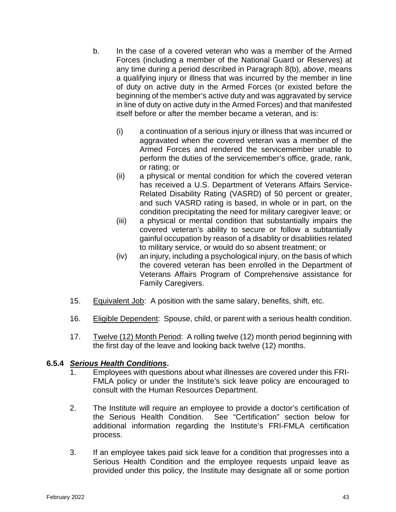- b. In the case of a covered veteran who was a member of the Armed Forces (including a member of the National Guard or Reserves) at any time during a period described in Paragraph 8(b), *above*, means a qualifying injury or illness that was incurred by the member in line of duty on active duty in the Armed Forces (or existed before the beginning of the member's active duty and was aggravated by service in line of duty on active duty in the Armed Forces) and that manifested itself before or after the member became a veteran, and is:
	- (i) a continuation of a serious injury or illness that was incurred or aggravated when the covered veteran was a member of the Armed Forces and rendered the servicemember unable to perform the duties of the servicemember's office, grade, rank, or rating; or
	- (ii) a physical or mental condition for which the covered veteran has received a U.S. Department of Veterans Affairs Service-Related Disability Rating (VASRD) of 50 percent or greater, and such VASRD rating is based, in whole or in part, on the condition precipitating the need for military caregiver leave; or
	- (iii) a physical or mental condition that substantially impairs the covered veteran's ability to secure or follow a subtantially gainful occupation by reason of a disablity or disabliities related to military service, or would do so absent treatment; or
	- (iv) an injury, including a psychological injury, on the basis of which the covered veteran has been enrolled in the Department of Veterans Affairs Program of Comprehensive assistance for Family Caregivers.
- 15. Equivalent Job: A position with the same salary, benefits, shift, etc.
- 16. Eligible Dependent: Spouse, child, or parent with a serious health condition.
- 17. Twelve (12) Month Period: A rolling twelve (12) month period beginning with the first day of the leave and looking back twelve (12) months.

# **6.5.4** *Serious Health Conditions***.**

- 1. Employees with questions about what illnesses are covered under this FRI-FMLA policy or under the Institute's sick leave policy are encouraged to consult with the Human Resources Department.
- 2. The Institute will require an employee to provide a doctor's certification of the Serious Health Condition. See "Certification" section below for additional information regarding the Institute's FRI-FMLA certification process.
- 3. If an employee takes paid sick leave for a condition that progresses into a Serious Health Condition and the employee requests unpaid leave as provided under this policy, the Institute may designate all or some portion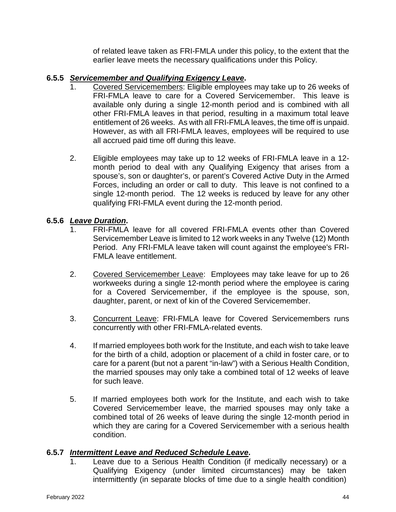of related leave taken as FRI-FMLA under this policy, to the extent that the earlier leave meets the necessary qualifications under this Policy.

#### **6.5.5** *Servicemember and Qualifying Exigency Leave***.**

- 1. Covered Servicemembers: Eligible employees may take up to 26 weeks of FRI-FMLA leave to care for a Covered Servicemember. This leave is available only during a single 12-month period and is combined with all other FRI-FMLA leaves in that period, resulting in a maximum total leave entitlement of 26 weeks. As with all FRI-FMLA leaves, the time off is unpaid. However, as with all FRI-FMLA leaves, employees will be required to use all accrued paid time off during this leave.
- 2. Eligible employees may take up to 12 weeks of FRI-FMLA leave in a 12 month period to deal with any Qualifying Exigency that arises from a spouse's, son or daughter's, or parent's Covered Active Duty in the Armed Forces, including an order or call to duty. This leave is not confined to a single 12-month period. The 12 weeks is reduced by leave for any other qualifying FRI-FMLA event during the 12-month period.

#### **6.5.6** *Leave Duration***.**

- 1. FRI-FMLA leave for all covered FRI-FMLA events other than Covered Servicemember Leave is limited to 12 work weeks in any Twelve (12) Month Period. Any FRI-FMLA leave taken will count against the employee's FRI-FMLA leave entitlement.
- 2. Covered Servicemember Leave: Employees may take leave for up to 26 workweeks during a single 12-month period where the employee is caring for a Covered Servicemember, if the employee is the spouse, son, daughter, parent, or next of kin of the Covered Servicemember.
- 3. Concurrent Leave: FRI-FMLA leave for Covered Servicemembers runs concurrently with other FRI-FMLA-related events.
- 4. If married employees both work for the Institute, and each wish to take leave for the birth of a child, adoption or placement of a child in foster care, or to care for a parent (but not a parent "in-law") with a Serious Health Condition, the married spouses may only take a combined total of 12 weeks of leave for such leave.
- 5. If married employees both work for the Institute, and each wish to take Covered Servicemember leave, the married spouses may only take a combined total of 26 weeks of leave during the single 12-month period in which they are caring for a Covered Servicemember with a serious health condition.

#### **6.5.7** *Intermittent Leave and Reduced Schedule Leave***.**

1. Leave due to a Serious Health Condition (if medically necessary) or a Qualifying Exigency (under limited circumstances) may be taken intermittently (in separate blocks of time due to a single health condition)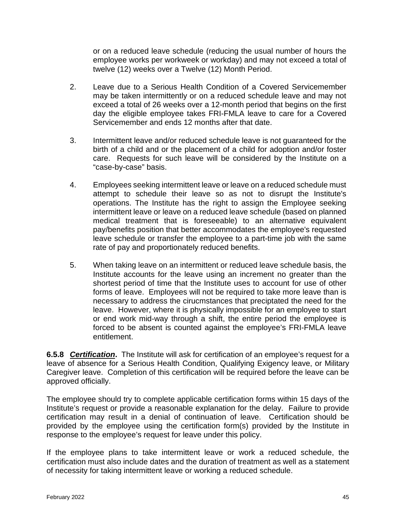or on a reduced leave schedule (reducing the usual number of hours the employee works per workweek or workday) and may not exceed a total of twelve (12) weeks over a Twelve (12) Month Period.

- 2. Leave due to a Serious Health Condition of a Covered Servicemember may be taken intermittently or on a reduced schedule leave and may not exceed a total of 26 weeks over a 12-month period that begins on the first day the eligible employee takes FRI-FMLA leave to care for a Covered Servicemember and ends 12 months after that date.
- 3. Intermittent leave and/or reduced schedule leave is not guaranteed for the birth of a child and or the placement of a child for adoption and/or foster care. Requests for such leave will be considered by the Institute on a "case-by-case" basis.
- 4. Employees seeking intermittent leave or leave on a reduced schedule must attempt to schedule their leave so as not to disrupt the Institute's operations. The Institute has the right to assign the Employee seeking intermittent leave or leave on a reduced leave schedule (based on planned medical treatment that is foreseeable) to an alternative equivalent pay/benefits position that better accommodates the employee's requested leave schedule or transfer the employee to a part-time job with the same rate of pay and proportionately reduced benefits.
- 5. When taking leave on an intermittent or reduced leave schedule basis, the Institute accounts for the leave using an increment no greater than the shortest period of time that the Institute uses to account for use of other forms of leave. Employees will not be required to take more leave than is necessary to address the cirucmstances that preciptated the need for the leave. However, where it is physically impossible for an employee to start or end work mid-way through a shift, the entire period the employee is forced to be absent is counted against the employee's FRI-FMLA leave entitlement.

**6.5.8** *Certification***.** The Institute will ask for certification of an employee's request for a leave of absence for a Serious Health Condition, Qualifying Exigency leave, or Military Caregiver leave. Completion of this certification will be required before the leave can be approved officially.

The employee should try to complete applicable certification forms within 15 days of the Institute's request or provide a reasonable explanation for the delay. Failure to provide certification may result in a denial of continuation of leave. Certification should be provided by the employee using the certification form(s) provided by the Institute in response to the employee's request for leave under this policy.

If the employee plans to take intermittent leave or work a reduced schedule, the certification must also include dates and the duration of treatment as well as a statement of necessity for taking intermittent leave or working a reduced schedule.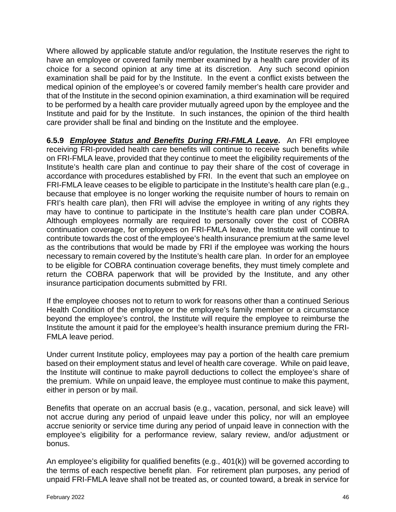Where allowed by applicable statute and/or regulation, the Institute reserves the right to have an employee or covered family member examined by a health care provider of its choice for a second opinion at any time at its discretion. Any such second opinion examination shall be paid for by the Institute. In the event a conflict exists between the medical opinion of the employee's or covered family member's health care provider and that of the Institute in the second opinion examination, a third examination will be required to be performed by a health care provider mutually agreed upon by the employee and the Institute and paid for by the Institute. In such instances, the opinion of the third health care provider shall be final and binding on the Institute and the employee.

**6.5.9** *Employee Status and Benefits During FRI-FMLA Leave***.** An FRI employee receiving FRI-provided health care benefits will continue to receive such benefits while on FRI-FMLA leave, provided that they continue to meet the eligibility requirements of the Institute's health care plan and continue to pay their share of the cost of coverage in accordance with procedures established by FRI. In the event that such an employee on FRI-FMLA leave ceases to be eligible to participate in the Institute's health care plan (e.g., because that employee is no longer working the requisite number of hours to remain on FRI's health care plan), then FRI will advise the employee in writing of any rights they may have to continue to participate in the Institute's health care plan under COBRA. Although employees normally are required to personally cover the cost of COBRA continuation coverage, for employees on FRI-FMLA leave, the Institute will continue to contribute towards the cost of the employee's health insurance premium at the same level as the contributions that would be made by FRI if the employee was working the hours necessary to remain covered by the Institute's health care plan. In order for an employee to be eligible for COBRA continuation coverage benefits, they must timely complete and return the COBRA paperwork that will be provided by the Institute, and any other insurance participation documents submitted by FRI.

If the employee chooses not to return to work for reasons other than a continued Serious Health Condition of the employee or the employee's family member or a circumstance beyond the employee's control, the Institute will require the employee to reimburse the Institute the amount it paid for the employee's health insurance premium during the FRI-FMLA leave period.

Under current Institute policy, employees may pay a portion of the health care premium based on their employment status and level of health care coverage. While on paid leave, the Institute will continue to make payroll deductions to collect the employee's share of the premium. While on unpaid leave, the employee must continue to make this payment, either in person or by mail.

Benefits that operate on an accrual basis (e.g., vacation, personal, and sick leave) will not accrue during any period of unpaid leave under this policy, nor will an employee accrue seniority or service time during any period of unpaid leave in connection with the employee's eligibility for a performance review, salary review, and/or adjustment or bonus.

An employee's eligibility for qualified benefits (e.g., 401(k)) will be governed according to the terms of each respective benefit plan. For retirement plan purposes, any period of unpaid FRI-FMLA leave shall not be treated as, or counted toward, a break in service for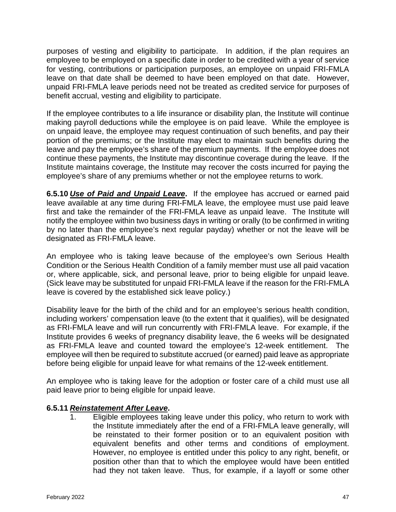purposes of vesting and eligibility to participate. In addition, if the plan requires an employee to be employed on a specific date in order to be credited with a year of service for vesting, contributions or participation purposes, an employee on unpaid FRI-FMLA leave on that date shall be deemed to have been employed on that date. However, unpaid FRI-FMLA leave periods need not be treated as credited service for purposes of benefit accrual, vesting and eligibility to participate.

If the employee contributes to a life insurance or disability plan, the Institute will continue making payroll deductions while the employee is on paid leave. While the employee is on unpaid leave, the employee may request continuation of such benefits, and pay their portion of the premiums; or the Institute may elect to maintain such benefits during the leave and pay the employee's share of the premium payments. If the employee does not continue these payments, the Institute may discontinue coverage during the leave. If the Institute maintains coverage, the Institute may recover the costs incurred for paying the employee's share of any premiums whether or not the employee returns to work.

**6.5.10** *Use of Paid and Unpaid Leave***.** If the employee has accrued or earned paid leave available at any time during FRI-FMLA leave, the employee must use paid leave first and take the remainder of the FRI-FMLA leave as unpaid leave. The Institute will notify the employee within two business days in writing or orally (to be confirmed in writing by no later than the employee's next regular payday) whether or not the leave will be designated as FRI-FMLA leave.

An employee who is taking leave because of the employee's own Serious Health Condition or the Serious Health Condition of a family member must use all paid vacation or, where applicable, sick, and personal leave, prior to being eligible for unpaid leave. (Sick leave may be substituted for unpaid FRI-FMLA leave if the reason for the FRI-FMLA leave is covered by the established sick leave policy.)

Disability leave for the birth of the child and for an employee's serious health condition, including workers' compensation leave (to the extent that it qualifies), will be designated as FRI-FMLA leave and will run concurrently with FRI-FMLA leave. For example, if the Institute provides 6 weeks of pregnancy disability leave, the 6 weeks will be designated as FRI-FMLA leave and counted toward the employee's 12-week entitlement. The employee will then be required to substitute accrued (or earned) paid leave as appropriate before being eligible for unpaid leave for what remains of the 12-week entitlement.

An employee who is taking leave for the adoption or foster care of a child must use all paid leave prior to being eligible for unpaid leave.

#### **6.5.11** *Reinstatement After Leave***.**

1. Eligible employees taking leave under this policy, who return to work with the Institute immediately after the end of a FRI-FMLA leave generally, will be reinstated to their former position or to an equivalent position with equivalent benefits and other terms and conditions of employment. However, no employee is entitled under this policy to any right, benefit, or position other than that to which the employee would have been entitled had they not taken leave. Thus, for example, if a layoff or some other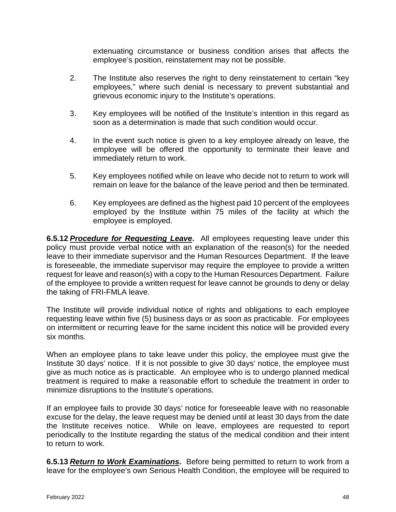extenuating circumstance or business condition arises that affects the employee's position, reinstatement may not be possible.

- 2. The Institute also reserves the right to deny reinstatement to certain "key employees," where such denial is necessary to prevent substantial and grievous economic injury to the Institute's operations.
- 3. Key employees will be notified of the Institute's intention in this regard as soon as a determination is made that such condition would occur.
- 4. In the event such notice is given to a key employee already on leave, the employee will be offered the opportunity to terminate their leave and immediately return to work.
- 5. Key employees notified while on leave who decide not to return to work will remain on leave for the balance of the leave period and then be terminated.
- 6. Key employees are defined as the highest paid 10 percent of the employees employed by the Institute within 75 miles of the facility at which the employee is employed.

**6.5.12** *Procedure for Requesting Leave***.** All employees requesting leave under this policy must provide verbal notice with an explanation of the reason(s) for the needed leave to their immediate supervisor and the Human Resources Department. If the leave is foreseeable, the immediate supervisor may require the employee to provide a written request for leave and reason(s) with a copy to the Human Resources Department. Failure of the employee to provide a written request for leave cannot be grounds to deny or delay the taking of FRI-FMLA leave.

The Institute will provide individual notice of rights and obligations to each employee requesting leave within five (5) business days or as soon as practicable. For employees on intermittent or recurring leave for the same incident this notice will be provided every six months.

When an employee plans to take leave under this policy, the employee must give the Institute 30 days' notice. If it is not possible to give 30 days' notice, the employee must give as much notice as is practicable. An employee who is to undergo planned medical treatment is required to make a reasonable effort to schedule the treatment in order to minimize disruptions to the Institute's operations.

If an employee fails to provide 30 days' notice for foreseeable leave with no reasonable excuse for the delay, the leave request may be denied until at least 30 days from the date the Institute receives notice. While on leave, employees are requested to report periodically to the Institute regarding the status of the medical condition and their intent to return to work.

**6.5.13** *Return to Work Examinations***.** Before being permitted to return to work from a leave for the employee's own Serious Health Condition, the employee will be required to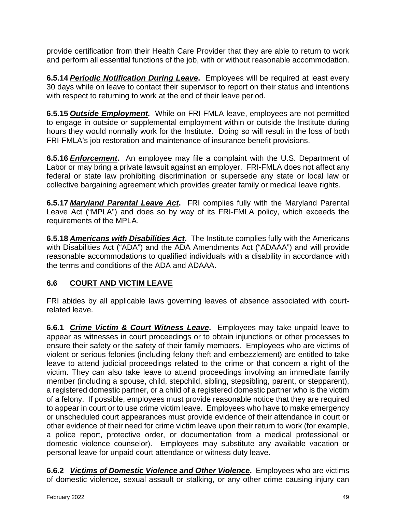provide certification from their Health Care Provider that they are able to return to work and perform all essential functions of the job, with or without reasonable accommodation.

**6.5.14** *Periodic Notification During Leave***.** Employees will be required at least every 30 days while on leave to contact their supervisor to report on their status and intentions with respect to returning to work at the end of their leave period.

**6.5.15** *Outside Employment***.** While on FRI-FMLA leave, employees are not permitted to engage in outside or supplemental employment within or outside the Institute during hours they would normally work for the Institute. Doing so will result in the loss of both FRI-FMLA's job restoration and maintenance of insurance benefit provisions.

**6.5.16** *Enforcement***.** An employee may file a complaint with the U.S. Department of Labor or may bring a private lawsuit against an employer. FRI-FMLA does not affect any federal or state law prohibiting discrimination or supersede any state or local law or collective bargaining agreement which provides greater family or medical leave rights.

**6.5.17** *Maryland Parental Leave Act***.** FRI complies fully with the Maryland Parental Leave Act ("MPLA") and does so by way of its FRI-FMLA policy, which exceeds the requirements of the MPLA.

**6.5.18** *Americans with Disabilities Act***.** The Institute complies fully with the Americans with Disabilities Act ("ADA") and the ADA Amendments Act ("ADAAA") and will provide reasonable accommodations to qualified individuals with a disability in accordance with the terms and conditions of the ADA and ADAAA.

# <span id="page-48-0"></span>**6.6 COURT AND VICTIM LEAVE**

FRI abides by all applicable laws governing leaves of absence associated with courtrelated leave.

**6.6.1** *Crime Victim & Court Witness Leave***.** Employees may take unpaid leave to appear as witnesses in court proceedings or to obtain injunctions or other processes to ensure their safety or the safety of their family members. Employees who are victims of violent or serious felonies (including felony theft and embezzlement) are entitled to take leave to attend judicial proceedings related to the crime or that concern a right of the victim. They can also take leave to attend proceedings involving an immediate family member (including a spouse, child, stepchild, sibling, stepsibling, parent, or stepparent), a registered domestic partner, or a child of a registered domestic partner who is the victim of a felony. If possible, employees must provide reasonable notice that they are required to appear in court or to use crime victim leave. Employees who have to make emergency or unscheduled court appearances must provide evidence of their attendance in court or other evidence of their need for crime victim leave upon their return to work (for example, a police report, protective order, or documentation from a medical professional or domestic violence counselor). Employees may substitute any available vacation or personal leave for unpaid court attendance or witness duty leave.

**6.6.2** *Victims of Domestic Violence and Other Violence***.** Employees who are victims of domestic violence, sexual assault or stalking, or any other crime causing injury can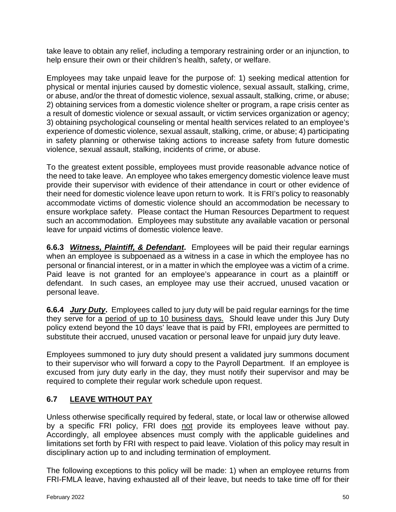take leave to obtain any relief, including a temporary restraining order or an injunction, to help ensure their own or their children's health, safety, or welfare.

Employees may take unpaid leave for the purpose of: 1) seeking medical attention for physical or mental injuries caused by domestic violence, sexual assault, stalking, crime, or abuse, and/or the threat of domestic violence, sexual assault, stalking, crime, or abuse; 2) obtaining services from a domestic violence shelter or program, a rape crisis center as a result of domestic violence or sexual assault, or victim services organization or agency; 3) obtaining psychological counseling or mental health services related to an employee's experience of domestic violence, sexual assault, stalking, crime, or abuse; 4) participating in safety planning or otherwise taking actions to increase safety from future domestic violence, sexual assault, stalking, incidents of crime, or abuse.

To the greatest extent possible, employees must provide reasonable advance notice of the need to take leave. An employee who takes emergency domestic violence leave must provide their supervisor with evidence of their attendance in court or other evidence of their need for domestic violence leave upon return to work. It is FRI's policy to reasonably accommodate victims of domestic violence should an accommodation be necessary to ensure workplace safety. Please contact the Human Resources Department to request such an accommodation. Employees may substitute any available vacation or personal leave for unpaid victims of domestic violence leave.

**6.6.3** *Witness, Plaintiff, & Defendant***.** Employees will be paid their regular earnings when an employee is subpoenaed as a witness in a case in which the employee has no personal or financial interest, or in a matter in which the employee was a victim of a crime. Paid leave is not granted for an employee's appearance in court as a plaintiff or defendant. In such cases, an employee may use their accrued, unused vacation or personal leave.

**6.6.4** *Jury Duty*. Employees called to jury duty will be paid regular earnings for the time they serve for a period of up to 10 business days. Should leave under this Jury Duty policy extend beyond the 10 days' leave that is paid by FRI, employees are permitted to substitute their accrued, unused vacation or personal leave for unpaid jury duty leave.

Employees summoned to jury duty should present a validated jury summons document to their supervisor who will forward a copy to the Payroll Department. If an employee is excused from jury duty early in the day, they must notify their supervisor and may be required to complete their regular work schedule upon request.

# <span id="page-49-0"></span>**6.7 LEAVE WITHOUT PAY**

Unless otherwise specifically required by federal, state, or local law or otherwise allowed by a specific FRI policy, FRI does not provide its employees leave without pay. Accordingly, all employee absences must comply with the applicable guidelines and limitations set forth by FRI with respect to paid leave. Violation of this policy may result in disciplinary action up to and including termination of employment.

The following exceptions to this policy will be made: 1) when an employee returns from FRI-FMLA leave, having exhausted all of their leave, but needs to take time off for their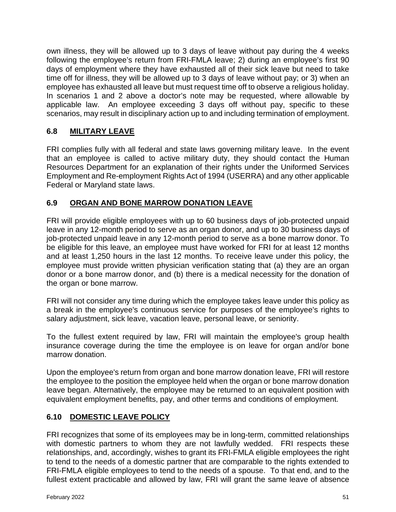own illness, they will be allowed up to 3 days of leave without pay during the 4 weeks following the employee's return from FRI-FMLA leave; 2) during an employee's first 90 days of employment where they have exhausted all of their sick leave but need to take time off for illness, they will be allowed up to 3 days of leave without pay; or 3) when an employee has exhausted all leave but must request time off to observe a religious holiday. In scenarios 1 and 2 above a doctor's note may be requested, where allowable by applicable law. An employee exceeding 3 days off without pay, specific to these scenarios, may result in disciplinary action up to and including termination of employment.

## <span id="page-50-0"></span>**6.8 MILITARY LEAVE**

FRI complies fully with all federal and state laws governing military leave. In the event that an employee is called to active military duty, they should contact the Human Resources Department for an explanation of their rights under the Uniformed Services Employment and Re-employment Rights Act of 1994 (USERRA) and any other applicable Federal or Maryland state laws.

#### <span id="page-50-1"></span>**6.9 ORGAN AND BONE MARROW DONATION LEAVE**

FRI will provide eligible employees with up to 60 business days of job-protected unpaid leave in any 12-month period to serve as an organ donor, and up to 30 business days of job-protected unpaid leave in any 12-month period to serve as a bone marrow donor. To be eligible for this leave, an employee must have worked for FRI for at least 12 months and at least 1,250 hours in the last 12 months. To receive leave under this policy, the employee must provide written physician verification stating that (a) they are an organ donor or a bone marrow donor, and (b) there is a medical necessity for the donation of the organ or bone marrow.

FRI will not consider any time during which the employee takes leave under this policy as a break in the employee's continuous service for purposes of the employee's rights to salary adjustment, sick leave, vacation leave, personal leave, or seniority.

To the fullest extent required by law, FRI will maintain the employee's group health insurance coverage during the time the employee is on leave for organ and/or bone marrow donation.

Upon the employee's return from organ and bone marrow donation leave, FRI will restore the employee to the position the employee held when the organ or bone marrow donation leave began. Alternatively, the employee may be returned to an equivalent position with equivalent employment benefits, pay, and other terms and conditions of employment.

# <span id="page-50-2"></span>**6.10 DOMESTIC LEAVE POLICY**

FRI recognizes that some of its employees may be in long-term, committed relationships with domestic partners to whom they are not lawfully wedded. FRI respects these relationships, and, accordingly, wishes to grant its FRI-FMLA eligible employees the right to tend to the needs of a domestic partner that are comparable to the rights extended to FRI-FMLA eligible employees to tend to the needs of a spouse. To that end, and to the fullest extent practicable and allowed by law, FRI will grant the same leave of absence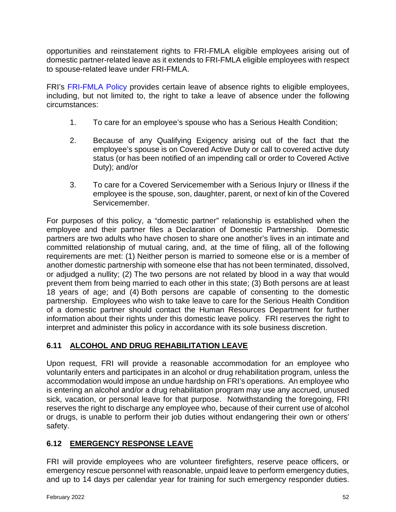opportunities and reinstatement rights to FRI-FMLA eligible employees arising out of domestic partner-related leave as it extends to FRI-FMLA eligible employees with respect to spouse-related leave under FRI-FMLA.

FRI's [FRI-FMLA Policy](#page-38-0) provides certain leave of absence rights to eligible employees, including, but not limited to, the right to take a leave of absence under the following circumstances:

- 1. To care for an employee's spouse who has a Serious Health Condition;
- 2. Because of any Qualifying Exigency arising out of the fact that the employee's spouse is on Covered Active Duty or call to covered active duty status (or has been notified of an impending call or order to Covered Active Duty); and/or
- 3. To care for a Covered Servicemember with a Serious Injury or Illness if the employee is the spouse, son, daughter, parent, or next of kin of the Covered Servicemember.

For purposes of this policy, a "domestic partner" relationship is established when the employee and their partner files a Declaration of Domestic Partnership. Domestic partners are two adults who have chosen to share one another's lives in an intimate and committed relationship of mutual caring, and, at the time of filing, all of the following requirements are met: (1) Neither person is married to someone else or is a member of another domestic partnership with someone else that has not been terminated, dissolved, or adjudged a nullity; (2) The two persons are not related by blood in a way that would prevent them from being married to each other in this state; (3) Both persons are at least 18 years of age; and (4) Both persons are capable of consenting to the domestic partnership. Employees who wish to take leave to care for the Serious Health Condition of a domestic partner should contact the Human Resources Department for further information about their rights under this domestic leave policy. FRI reserves the right to interpret and administer this policy in accordance with its sole business discretion.

# <span id="page-51-0"></span>**6.11 ALCOHOL AND DRUG REHABILITATION LEAVE**

Upon request, FRI will provide a reasonable accommodation for an employee who voluntarily enters and participates in an alcohol or drug rehabilitation program, unless the accommodation would impose an undue hardship on FRI's operations. An employee who is entering an alcohol and/or a drug rehabilitation program may use any accrued, unused sick, vacation, or personal leave for that purpose. Notwithstanding the foregoing, FRI reserves the right to discharge any employee who, because of their current use of alcohol or drugs, is unable to perform their job duties without endangering their own or others' safety.

# <span id="page-51-1"></span>**6.12 EMERGENCY RESPONSE LEAVE**

FRI will provide employees who are volunteer firefighters, reserve peace officers, or emergency rescue personnel with reasonable, unpaid leave to perform emergency duties, and up to 14 days per calendar year for training for such emergency responder duties.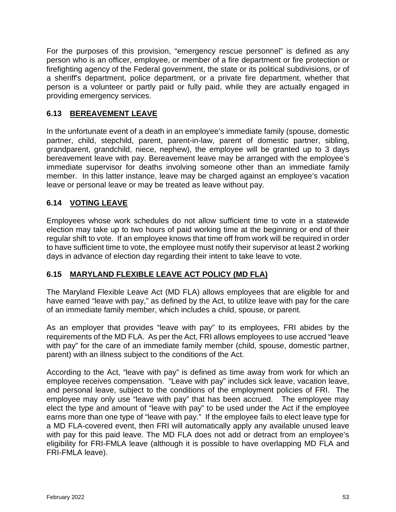For the purposes of this provision, "emergency rescue personnel" is defined as any person who is an officer, employee, or member of a fire department or fire protection or firefighting agency of the Federal government, the state or its political subdivisions, or of a sheriff's department, police department, or a private fire department, whether that person is a volunteer or partly paid or fully paid, while they are actually engaged in providing emergency services.

# <span id="page-52-0"></span>**6.13 BEREAVEMENT LEAVE**

In the unfortunate event of a death in an employee's immediate family (spouse, domestic partner, child, stepchild, parent, parent-in-law, parent of domestic partner, sibling, grandparent, grandchild, niece, nephew), the employee will be granted up to 3 days bereavement leave with pay. Bereavement leave may be arranged with the employee's immediate supervisor for deaths involving someone other than an immediate family member. In this latter instance, leave may be charged against an employee's vacation leave or personal leave or may be treated as leave without pay.

#### <span id="page-52-1"></span>**6.14 VOTING LEAVE**

Employees whose work schedules do not allow sufficient time to vote in a statewide election may take up to two hours of paid working time at the beginning or end of their regular shift to vote. If an employee knows that time off from work will be required in order to have sufficient time to vote, the employee must notify their supervisor at least 2 working days in advance of election day regarding their intent to take leave to vote.

# <span id="page-52-2"></span>**6.15 MARYLAND FLEXIBLE LEAVE ACT POLICY (MD FLA)**

The Maryland Flexible Leave Act (MD FLA) allows employees that are eligible for and have earned "leave with pay," as defined by the Act, to utilize leave with pay for the care of an immediate family member, which includes a child, spouse, or parent.

As an employer that provides "leave with pay" to its employees, FRI abides by the requirements of the MD FLA. As per the Act, FRI allows employees to use accrued "leave with pay" for the care of an immediate family member (child, spouse, domestic partner, parent) with an illness subject to the conditions of the Act.

According to the Act, "leave with pay" is defined as time away from work for which an employee receives compensation. "Leave with pay" includes sick leave, vacation leave, and personal leave, subject to the conditions of the employment policies of FRI. The employee may only use "leave with pay" that has been accrued. The employee may elect the type and amount of "leave with pay" to be used under the Act if the employee earns more than one type of "leave with pay." If the employee fails to elect leave type for a MD FLA-covered event, then FRI will automatically apply any available unused leave with pay for this paid leave. The MD FLA does not add or detract from an employee's eligibility for FRI-FMLA leave (although it is possible to have overlapping MD FLA and FRI-FMLA leave).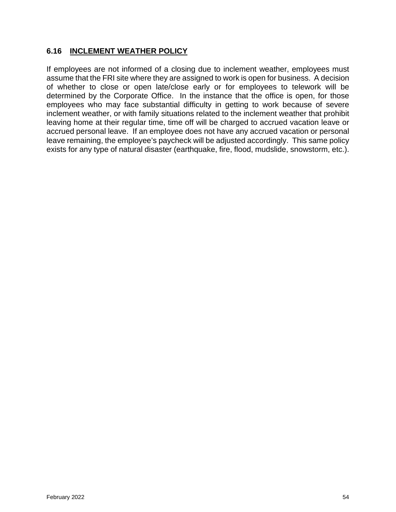#### <span id="page-53-0"></span>**6.16 INCLEMENT WEATHER POLICY**

If employees are not informed of a closing due to inclement weather, employees must assume that the FRI site where they are assigned to work is open for business. A decision of whether to close or open late/close early or for employees to telework will be determined by the Corporate Office. In the instance that the office is open, for those employees who may face substantial difficulty in getting to work because of severe inclement weather, or with family situations related to the inclement weather that prohibit leaving home at their regular time, time off will be charged to accrued vacation leave or accrued personal leave. If an employee does not have any accrued vacation or personal leave remaining, the employee's paycheck will be adjusted accordingly. This same policy exists for any type of natural disaster (earthquake, fire, flood, mudslide, snowstorm, etc.).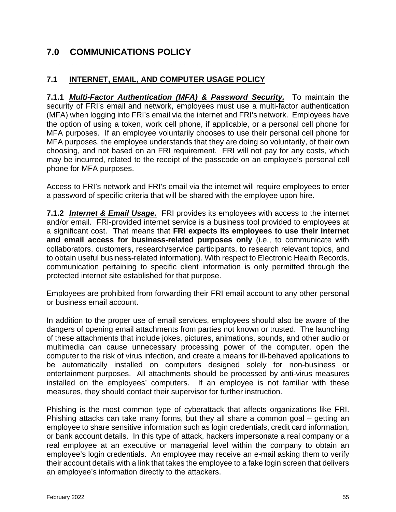# <span id="page-54-0"></span>**7.0 COMMUNICATIONS POLICY**

#### <span id="page-54-1"></span>**7.1 INTERNET, EMAIL, AND COMPUTER USAGE POLICY**

**7.1.1** *Multi-Factor Authentication (MFA) & Password Security.* To maintain the security of FRI's email and network, employees must use a multi-factor authentication (MFA) when logging into FRI's email via the internet and FRI's network. Employees have the option of using a token, work cell phone, if applicable, or a personal cell phone for MFA purposes. If an employee voluntarily chooses to use their personal cell phone for MFA purposes, the employee understands that they are doing so voluntarily, of their own choosing, and not based on an FRI requirement. FRI will not pay for any costs, which may be incurred, related to the receipt of the passcode on an employee's personal cell phone for MFA purposes.

**\_\_\_\_\_\_\_\_\_\_\_\_\_\_\_\_\_\_\_\_\_\_\_\_\_\_\_\_\_\_\_\_\_\_\_\_\_\_\_\_\_\_\_\_\_\_\_\_\_\_\_\_\_\_\_\_\_\_\_\_\_\_\_\_\_\_\_\_\_\_**

Access to FRI's network and FRI's email via the internet will require employees to enter a password of specific criteria that will be shared with the employee upon hire.

**7.1.2** *Internet & Email Usage.* FRI provides its employees with access to the internet and/or email. FRI-provided internet service is a business tool provided to employees at a significant cost. That means that **FRI expects its employees to use their internet and email access for business-related purposes only** (i.e., to communicate with collaborators, customers, research/service participants, to research relevant topics, and to obtain useful business-related information). With respect to Electronic Health Records, communication pertaining to specific client information is only permitted through the protected internet site established for that purpose.

Employees are prohibited from forwarding their FRI email account to any other personal or business email account.

In addition to the proper use of email services, employees should also be aware of the dangers of opening email attachments from parties not known or trusted. The launching of these attachments that include jokes, pictures, animations, sounds, and other audio or multimedia can cause unnecessary processing power of the computer, open the computer to the risk of virus infection, and create a means for ill-behaved applications to be automatically installed on computers designed solely for non-business or entertainment purposes. All attachments should be processed by anti-virus measures installed on the employees' computers. If an employee is not familiar with these measures, they should contact their supervisor for further instruction.

Phishing is the most common type of cyberattack that affects organizations like FRI. Phishing attacks can take many forms, but they all share a common goal – getting an employee to share sensitive information such as login credentials, credit card information, or bank account details. In this type of attack, hackers impersonate a real company or a real employee at an executive or managerial level within the company to obtain an employee's login credentials. An employee may receive an e-mail asking them to verify their account details with a link that takes the employee to a fake login screen that delivers an employee's information directly to the attackers.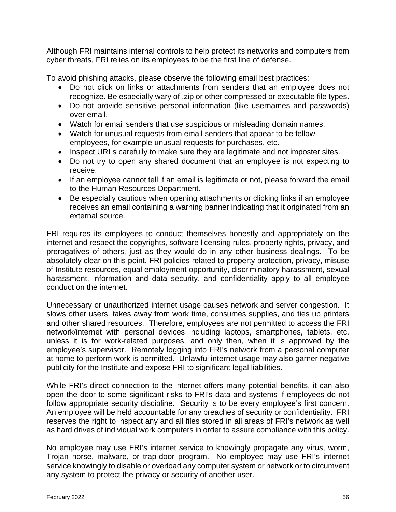Although FRI maintains internal controls to help protect its networks and computers from cyber threats, FRI relies on its employees to be the first line of defense.

To avoid phishing attacks, please observe the following email best practices:

- Do not click on links or attachments from senders that an employee does not recognize. Be especially wary of .zip or other compressed or executable file types.
- Do not provide sensitive personal information (like usernames and passwords) over email.
- Watch for email senders that use suspicious or misleading domain names.
- Watch for unusual requests from email senders that appear to be fellow employees, for example unusual requests for purchases, etc.
- Inspect URLs carefully to make sure they are legitimate and not imposter sites.
- Do not try to open any shared document that an employee is not expecting to receive.
- If an employee cannot tell if an email is legitimate or not, please forward the email to the Human Resources Department.
- Be especially cautious when opening attachments or clicking links if an employee receives an email containing a warning banner indicating that it originated from an external source.

FRI requires its employees to conduct themselves honestly and appropriately on the internet and respect the copyrights, software licensing rules, property rights, privacy, and prerogatives of others, just as they would do in any other business dealings. To be absolutely clear on this point, FRI policies related to property protection, privacy, misuse of Institute resources, equal employment opportunity, discriminatory harassment, sexual harassment, information and data security, and confidentiality apply to all employee conduct on the internet.

Unnecessary or unauthorized internet usage causes network and server congestion. It slows other users, takes away from work time, consumes supplies, and ties up printers and other shared resources. Therefore, employees are not permitted to access the FRI network/internet with personal devices including laptops, smartphones, tablets, etc. unless it is for work-related purposes, and only then, when it is approved by the employee's supervisor. Remotely logging into FRI's network from a personal computer at home to perform work is permitted. Unlawful internet usage may also garner negative publicity for the Institute and expose FRI to significant legal liabilities.

While FRI's direct connection to the internet offers many potential benefits, it can also open the door to some significant risks to FRI's data and systems if employees do not follow appropriate security discipline. Security is to be every employee's first concern. An employee will be held accountable for any breaches of security or confidentiality. FRI reserves the right to inspect any and all files stored in all areas of FRI's network as well as hard drives of individual work computers in order to assure compliance with this policy.

No employee may use FRI's internet service to knowingly propagate any virus, worm, Trojan horse, malware, or trap-door program. No employee may use FRI's internet service knowingly to disable or overload any computer system or network or to circumvent any system to protect the privacy or security of another user.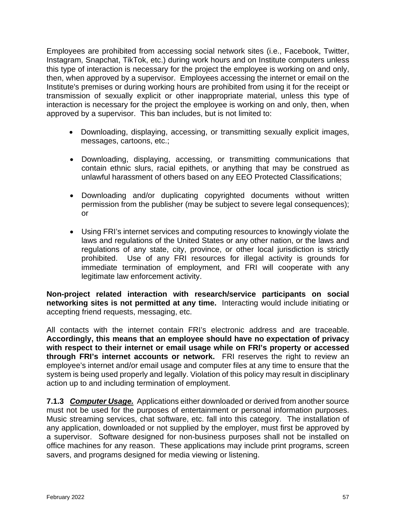Employees are prohibited from accessing social network sites (i.e., Facebook, Twitter, Instagram, Snapchat, TikTok, etc.) during work hours and on Institute computers unless this type of interaction is necessary for the project the employee is working on and only, then, when approved by a supervisor. Employees accessing the internet or email on the Institute's premises or during working hours are prohibited from using it for the receipt or transmission of sexually explicit or other inappropriate material, unless this type of interaction is necessary for the project the employee is working on and only, then, when approved by a supervisor. This ban includes, but is not limited to:

- Downloading, displaying, accessing, or transmitting sexually explicit images, messages, cartoons, etc.;
- Downloading, displaying, accessing, or transmitting communications that contain ethnic slurs, racial epithets, or anything that may be construed as unlawful harassment of others based on any EEO Protected Classifications;
- Downloading and/or duplicating copyrighted documents without written permission from the publisher (may be subject to severe legal consequences); or
- Using FRI's internet services and computing resources to knowingly violate the laws and regulations of the United States or any other nation, or the laws and regulations of any state, city, province, or other local jurisdiction is strictly prohibited. Use of any FRI resources for illegal activity is grounds for immediate termination of employment, and FRI will cooperate with any legitimate law enforcement activity.

**Non-project related interaction with research/service participants on social networking sites is not permitted at any time.** Interacting would include initiating or accepting friend requests, messaging, etc.

All contacts with the internet contain FRI's electronic address and are traceable. **Accordingly, this means that an employee should have no expectation of privacy with respect to their internet or email usage while on FRI's property or accessed through FRI's internet accounts or network.** FRI reserves the right to review an employee's internet and/or email usage and computer files at any time to ensure that the system is being used properly and legally. Violation of this policy may result in disciplinary action up to and including termination of employment.

**7.1.3** *Computer Usage.* Applications either downloaded or derived from another source must not be used for the purposes of entertainment or personal information purposes. Music streaming services, chat software, etc. fall into this category. The installation of any application, downloaded or not supplied by the employer, must first be approved by a supervisor. Software designed for non-business purposes shall not be installed on office machines for any reason. These applications may include print programs, screen savers, and programs designed for media viewing or listening.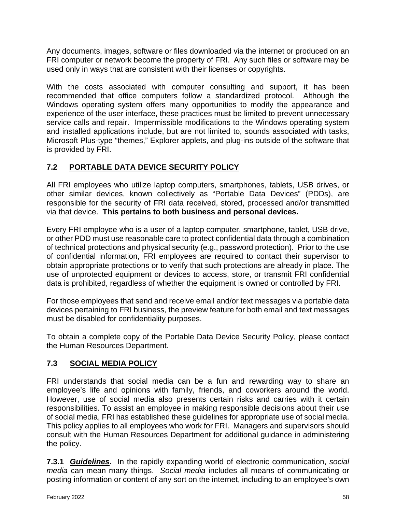Any documents, images, software or files downloaded via the internet or produced on an FRI computer or network become the property of FRI. Any such files or software may be used only in ways that are consistent with their licenses or copyrights.

With the costs associated with computer consulting and support, it has been recommended that office computers follow a standardized protocol. Although the Windows operating system offers many opportunities to modify the appearance and experience of the user interface, these practices must be limited to prevent unnecessary service calls and repair. Impermissible modifications to the Windows operating system and installed applications include, but are not limited to, sounds associated with tasks, Microsoft Plus-type "themes," Explorer applets, and plug-ins outside of the software that is provided by FRI.

# <span id="page-57-0"></span>**7.2 PORTABLE DATA DEVICE SECURITY POLICY**

All FRI employees who utilize laptop computers, smartphones, tablets, USB drives, or other similar devices, known collectively as "Portable Data Devices" (PDDs), are responsible for the security of FRI data received, stored, processed and/or transmitted via that device. **This pertains to both business and personal devices.**

Every FRI employee who is a user of a laptop computer, smartphone, tablet, USB drive, or other PDD must use reasonable care to protect confidential data through a combination of technical protections and physical security (e.g., password protection). Prior to the use of confidential information, FRI employees are required to contact their supervisor to obtain appropriate protections or to verify that such protections are already in place. The use of unprotected equipment or devices to access, store, or transmit FRI confidential data is prohibited, regardless of whether the equipment is owned or controlled by FRI.

For those employees that send and receive email and/or text messages via portable data devices pertaining to FRI business, the preview feature for both email and text messages must be disabled for confidentiality purposes.

To obtain a complete copy of the Portable Data Device Security Policy, please contact the Human Resources Department.

# <span id="page-57-1"></span>**7.3 SOCIAL MEDIA POLICY**

FRI understands that social media can be a fun and rewarding way to share an employee's life and opinions with family, friends, and coworkers around the world. However, use of social media also presents certain risks and carries with it certain responsibilities. To assist an employee in making responsible decisions about their use of social media, FRI has established these guidelines for appropriate use of social media. This policy applies to all employees who work for FRI. Managers and supervisors should consult with the Human Resources Department for additional guidance in administering the policy.

**7.3.1** *Guidelines***.** In the rapidly expanding world of electronic communication, *social media* can mean many things. *Social media* includes all means of communicating or posting information or content of any sort on the internet, including to an employee's own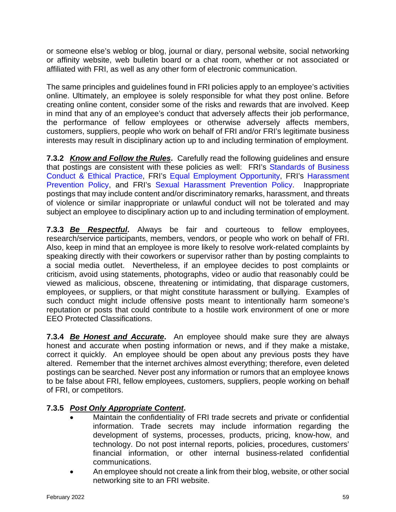or someone else's weblog or blog, journal or diary, personal website, social networking or affinity website, web bulletin board or a chat room, whether or not associated or affiliated with FRI, as well as any other form of electronic communication.

The same principles and guidelines found in FRI policies apply to an employee's activities online. Ultimately, an employee is solely responsible for what they post online. Before creating online content, consider some of the risks and rewards that are involved. Keep in mind that any of an employee's conduct that adversely affects their job performance, the performance of fellow employees or otherwise adversely affects members, customers, suppliers, people who work on behalf of FRI and/or FRI's legitimate business interests may result in disciplinary action up to and including termination of employment.

**7.3.2** *Know and Follow the Rules*. Carefully read the following quidelines and ensure that postings are consistent with these policies as well: FRI's Standards of Business [Conduct & Ethical Practice,](#page-16-0) FRI's [Equal Employment Opportunity,](#page-10-2) FRI's [Harassment](#page-12-0)  [Prevention Policy,](#page-12-0) and FRI's [Sexual Harassment Prevention Policy.](#page-13-0) Inappropriate postings that may include content and/or discriminatory remarks, harassment, and threats of violence or similar inappropriate or unlawful conduct will not be tolerated and may subject an employee to disciplinary action up to and including termination of employment.

**7.3.3** *Be Respectful***.** Always be fair and courteous to fellow employees, research/service participants, members, vendors, or people who work on behalf of FRI. Also, keep in mind that an employee is more likely to resolve work-related complaints by speaking directly with their coworkers or supervisor rather than by posting complaints to a social media outlet. Nevertheless, if an employee decides to post complaints or criticism, avoid using statements, photographs, video or audio that reasonably could be viewed as malicious, obscene, threatening or intimidating, that disparage customers, employees, or suppliers, or that might constitute harassment or bullying. Examples of such conduct might include offensive posts meant to intentionally harm someone's reputation or posts that could contribute to a hostile work environment of one or more EEO Protected Classifications.

**7.3.4** *Be Honest and Accurate***.** An employee should make sure they are always honest and accurate when posting information or news, and if they make a mistake, correct it quickly. An employee should be open about any previous posts they have altered. Remember that the internet archives almost everything; therefore, even deleted postings can be searched. Never post any information or rumors that an employee knows to be false about FRI, fellow employees, customers, suppliers, people working on behalf of FRI, or competitors.

# **7.3.5** *Post Only Appropriate Content***.**

- Maintain the confidentiality of FRI trade secrets and private or confidential information. Trade secrets may include information regarding the development of systems, processes, products, pricing, know-how, and technology. Do not post internal reports, policies, procedures, customers' financial information, or other internal business-related confidential communications.
- An employee should not create a link from their blog, website, or other social networking site to an FRI website.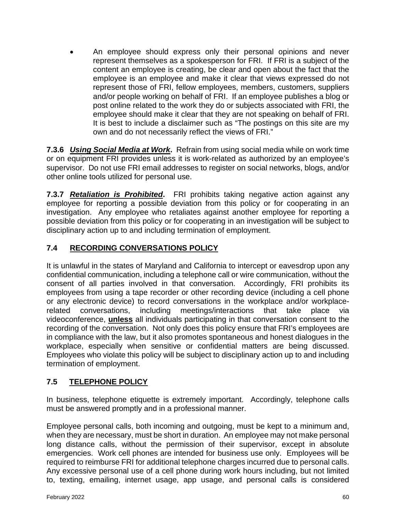• An employee should express only their personal opinions and never represent themselves as a spokesperson for FRI. If FRI is a subject of the content an employee is creating, be clear and open about the fact that the employee is an employee and make it clear that views expressed do not represent those of FRI, fellow employees, members, customers, suppliers and/or people working on behalf of FRI. If an employee publishes a blog or post online related to the work they do or subjects associated with FRI, the employee should make it clear that they are not speaking on behalf of FRI. It is best to include a disclaimer such as "The postings on this site are my own and do not necessarily reflect the views of FRI."

**7.3.6** *Using Social Media at Work***.** Refrain from using social media while on work time or on equipment FRI provides unless it is work-related as authorized by an employee's supervisor. Do not use FRI email addresses to register on social networks, blogs, and/or other online tools utilized for personal use.

**7.3.7** *Retaliation is Prohibited***.** FRI prohibits taking negative action against any employee for reporting a possible deviation from this policy or for cooperating in an investigation. Any employee who retaliates against another employee for reporting a possible deviation from this policy or for cooperating in an investigation will be subject to disciplinary action up to and including termination of employment.

# <span id="page-59-0"></span>**7.4 RECORDING CONVERSATIONS POLICY**

It is unlawful in the states of Maryland and California to intercept or eavesdrop upon any confidential communication, including a telephone call or wire communication, without the consent of all parties involved in that conversation. Accordingly, FRI prohibits its employees from using a tape recorder or other recording device (including a cell phone or any electronic device) to record conversations in the workplace and/or workplacerelated conversations, including meetings/interactions that take place via videoconference, **unless** all individuals participating in that conversation consent to the recording of the conversation. Not only does this policy ensure that FRI's employees are in compliance with the law, but it also promotes spontaneous and honest dialogues in the workplace, especially when sensitive or confidential matters are being discussed. Employees who violate this policy will be subject to disciplinary action up to and including termination of employment.

# <span id="page-59-1"></span>**7.5 TELEPHONE POLICY**

In business, telephone etiquette is extremely important. Accordingly, telephone calls must be answered promptly and in a professional manner.

Employee personal calls, both incoming and outgoing, must be kept to a minimum and, when they are necessary, must be short in duration. An employee may not make personal long distance calls, without the permission of their supervisor, except in absolute emergencies. Work cell phones are intended for business use only. Employees will be required to reimburse FRI for additional telephone charges incurred due to personal calls. Any excessive personal use of a cell phone during work hours including, but not limited to, texting, emailing, internet usage, app usage, and personal calls is considered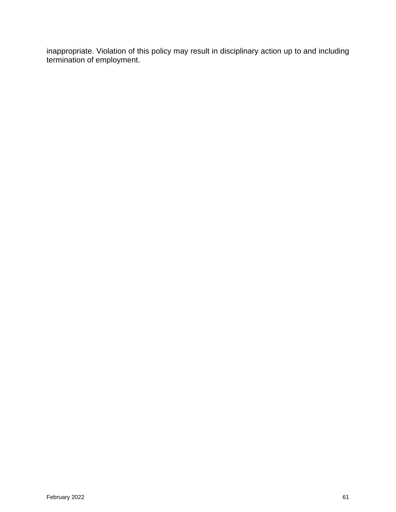inappropriate. Violation of this policy may result in disciplinary action up to and including termination of employment.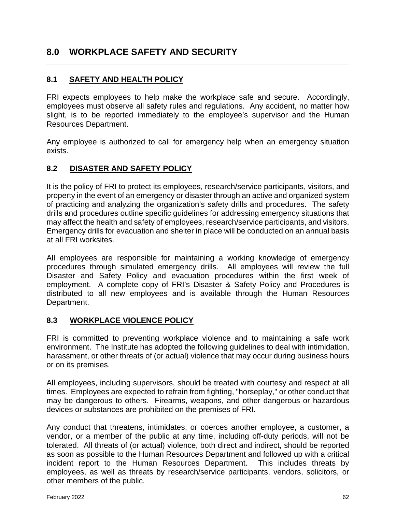# <span id="page-61-0"></span>**8.0 WORKPLACE SAFETY AND SECURITY**

# <span id="page-61-1"></span>**8.1 SAFETY AND HEALTH POLICY**

FRI expects employees to help make the workplace safe and secure. Accordingly, employees must observe all safety rules and regulations. Any accident, no matter how slight, is to be reported immediately to the employee's supervisor and the Human Resources Department.

**\_\_\_\_\_\_\_\_\_\_\_\_\_\_\_\_\_\_\_\_\_\_\_\_\_\_\_\_\_\_\_\_\_\_\_\_\_\_\_\_\_\_\_\_\_\_\_\_\_\_\_\_\_\_\_\_\_\_\_\_\_\_\_\_\_\_\_\_\_\_**

Any employee is authorized to call for emergency help when an emergency situation exists.

#### <span id="page-61-2"></span>**8.2 DISASTER AND SAFETY POLICY**

It is the policy of FRI to protect its employees, research/service participants, visitors, and property in the event of an emergency or disaster through an active and organized system of practicing and analyzing the organization's safety drills and procedures. The safety drills and procedures outline specific guidelines for addressing emergency situations that may affect the health and safety of employees, research/service participants, and visitors. Emergency drills for evacuation and shelter in place will be conducted on an annual basis at all FRI worksites.

All employees are responsible for maintaining a working knowledge of emergency procedures through simulated emergency drills. All employees will review the full Disaster and Safety Policy and evacuation procedures within the first week of employment. A complete copy of FRI's Disaster & Safety Policy and Procedures is distributed to all new employees and is available through the Human Resources Department.

#### <span id="page-61-3"></span>**8.3 WORKPLACE VIOLENCE POLICY**

FRI is committed to preventing workplace violence and to maintaining a safe work environment. The Institute has adopted the following guidelines to deal with intimidation, harassment, or other threats of (or actual) violence that may occur during business hours or on its premises.

All employees, including supervisors, should be treated with courtesy and respect at all times. Employees are expected to refrain from fighting, "horseplay," or other conduct that may be dangerous to others. Firearms, weapons, and other dangerous or hazardous devices or substances are prohibited on the premises of FRI.

Any conduct that threatens, intimidates, or coerces another employee, a customer, a vendor, or a member of the public at any time, including off-duty periods, will not be tolerated. All threats of (or actual) violence, both direct and indirect, should be reported as soon as possible to the Human Resources Department and followed up with a critical incident report to the Human Resources Department. This includes threats by employees, as well as threats by research/service participants, vendors, solicitors, or other members of the public.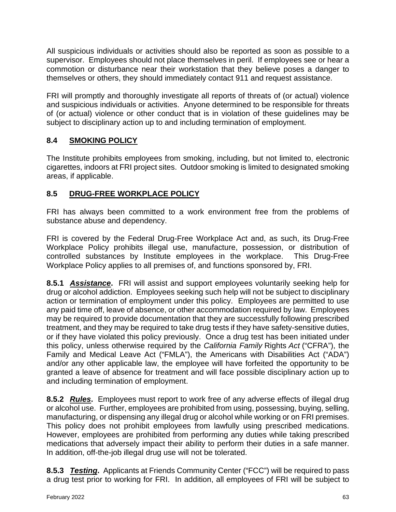All suspicious individuals or activities should also be reported as soon as possible to a supervisor. Employees should not place themselves in peril. If employees see or hear a commotion or disturbance near their workstation that they believe poses a danger to themselves or others, they should immediately contact 911 and request assistance.

FRI will promptly and thoroughly investigate all reports of threats of (or actual) violence and suspicious individuals or activities. Anyone determined to be responsible for threats of (or actual) violence or other conduct that is in violation of these guidelines may be subject to disciplinary action up to and including termination of employment.

## <span id="page-62-0"></span>**8.4 SMOKING POLICY**

The Institute prohibits employees from smoking, including, but not limited to, electronic cigarettes, indoors at FRI project sites. Outdoor smoking is limited to designated smoking areas, if applicable.

# <span id="page-62-1"></span>**8.5 DRUG-FREE WORKPLACE POLICY**

FRI has always been committed to a work environment free from the problems of substance abuse and dependency.

FRI is covered by the Federal Drug-Free Workplace Act and, as such, its Drug-Free Workplace Policy prohibits illegal use, manufacture, possession, or distribution of controlled substances by Institute employees in the workplace. This Drug-Free Workplace Policy applies to all premises of, and functions sponsored by, FRI.

**8.5.1** *Assistance***.** FRI will assist and support employees voluntarily seeking help for drug or alcohol addiction. Employees seeking such help will not be subject to disciplinary action or termination of employment under this policy. Employees are permitted to use any paid time off, leave of absence, or other accommodation required by law. Employees may be required to provide documentation that they are successfully following prescribed treatment, and they may be required to take drug tests if they have safety-sensitive duties, or if they have violated this policy previously. Once a drug test has been initiated under this policy, unless otherwise required by the *California Family* Rights *Act* ("CFRA"), the Family and Medical Leave Act ("FMLA"), the Americans with Disabilities Act ("ADA") and/or any other applicable law, the employee will have forfeited the opportunity to be granted a leave of absence for treatment and will face possible disciplinary action up to and including termination of employment.

**8.5.2** *Rules*. Employees must report to work free of any adverse effects of illegal drug or alcohol use. Further, employees are prohibited from using, possessing, buying, selling, manufacturing, or dispensing any illegal drug or alcohol while working or on FRI premises. This policy does not prohibit employees from lawfully using prescribed medications. However, employees are prohibited from performing any duties while taking prescribed medications that adversely impact their ability to perform their duties in a safe manner. In addition, off-the-job illegal drug use will not be tolerated.

**8.5.3** *Testing***.** Applicants at Friends Community Center ("FCC") will be required to pass a drug test prior to working for FRI. In addition, all employees of FRI will be subject to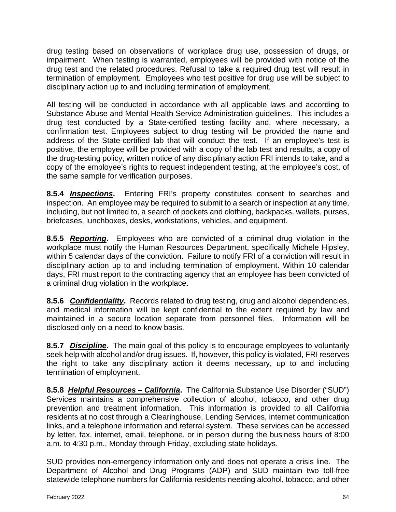drug testing based on observations of workplace drug use, possession of drugs, or impairment. When testing is warranted, employees will be provided with notice of the drug test and the related procedures. Refusal to take a required drug test will result in termination of employment. Employees who test positive for drug use will be subject to disciplinary action up to and including termination of employment.

All testing will be conducted in accordance with all applicable laws and according to Substance Abuse and Mental Health Service Administration guidelines. This includes a drug test conducted by a State-certified testing facility and, where necessary, a confirmation test. Employees subject to drug testing will be provided the name and address of the State-certified lab that will conduct the test. If an employee's test is positive, the employee will be provided with a copy of the lab test and results, a copy of the drug-testing policy, written notice of any disciplinary action FRI intends to take, and a copy of the employee's rights to request independent testing, at the employee's cost, of the same sample for verification purposes.

**8.5.4** *Inspections***.** Entering FRI's property constitutes consent to searches and inspection. An employee may be required to submit to a search or inspection at any time, including, but not limited to, a search of pockets and clothing, backpacks, wallets, purses, briefcases, lunchboxes, desks, workstations, vehicles, and equipment.

**8.5.5** *Reporting***.** Employees who are convicted of a criminal drug violation in the workplace must notify the Human Resources Department, specifically Michele Hipsley, within 5 calendar days of the conviction. Failure to notify FRI of a conviction will result in disciplinary action up to and including termination of employment. Within 10 calendar days, FRI must report to the contracting agency that an employee has been convicted of a criminal drug violation in the workplace.

**8.5.6** *Confidentiality***.** Records related to drug testing, drug and alcohol dependencies, and medical information will be kept confidential to the extent required by law and maintained in a secure location separate from personnel files. Information will be disclosed only on a need-to-know basis.

**8.5.7** *Discipline***.** The main goal of this policy is to encourage employees to voluntarily seek help with alcohol and/or drug issues. If, however, this policy is violated, FRI reserves the right to take any disciplinary action it deems necessary, up to and including termination of employment.

**8.5.8** *Helpful Resources – California***.** The California Substance Use Disorder ("SUD") Services maintains a comprehensive collection of alcohol, tobacco, and other drug prevention and treatment information. This information is provided to all California residents at no cost through a Clearinghouse, Lending Services, internet communication links, and a telephone information and referral system. These services can be accessed by letter, fax, internet, email, telephone, or in person during the business hours of 8:00 a.m. to 4:30 p.m., Monday through Friday, excluding state holidays.

SUD provides non-emergency information only and does not operate a crisis line. The Department of Alcohol and Drug Programs (ADP) and SUD maintain two toll-free statewide telephone numbers for California residents needing alcohol, tobacco, and other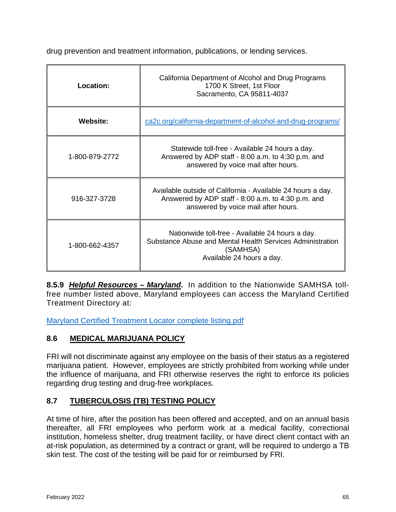drug prevention and treatment information, publications, or lending services.

| <b>Location:</b> | California Department of Alcohol and Drug Programs<br>1700 K Street, 1st Floor<br>Sacramento, CA 95811-4037                                              |
|------------------|----------------------------------------------------------------------------------------------------------------------------------------------------------|
| <b>Website:</b>  | ca2c.org/california-department-of-alcohol-and-drug-programs/                                                                                             |
| 1-800-879-2772   | Statewide toll-free - Available 24 hours a day.<br>Answered by ADP staff - 8:00 a.m. to 4:30 p.m. and<br>answered by voice mail after hours.             |
| 916-327-3728     | Available outside of California - Available 24 hours a day.<br>Answered by ADP staff - 8:00 a.m. to 4:30 p.m. and<br>answered by voice mail after hours. |
| 1-800-662-4357   | Nationwide toll-free - Available 24 hours a day.<br>Substance Abuse and Mental Health Services Administration<br>(SAMHSA)<br>Available 24 hours a day.   |

**8.5.9** *Helpful Resources – Maryland***.** In addition to the Nationwide SAMHSA tollfree number listed above, Maryland employees can access the Maryland Certified Treatment Directory at:

[Maryland Certified Treatment Locator complete listing.pdf](https://health.maryland.gov/bha/Documents/Maryland%20Certified%20Treatment%20Locator%20complete%20listing.pdf)

# <span id="page-64-0"></span>**8.6 MEDICAL MARIJUANA POLICY**

FRI will not discriminate against any employee on the basis of their status as a registered marijuana patient. However, employees are strictly prohibited from working while under the influence of marijuana, and FRI otherwise reserves the right to enforce its policies regarding drug testing and drug-free workplaces.

# <span id="page-64-1"></span>**8.7 TUBERCULOSIS (TB) TESTING POLICY**

At time of hire, after the position has been offered and accepted, and on an annual basis thereafter, all FRI employees who perform work at a medical facility, correctional institution, homeless shelter, drug treatment facility, or have direct client contact with an at-risk population, as determined by a contract or grant, will be required to undergo a TB skin test. The cost of the testing will be paid for or reimbursed by FRI.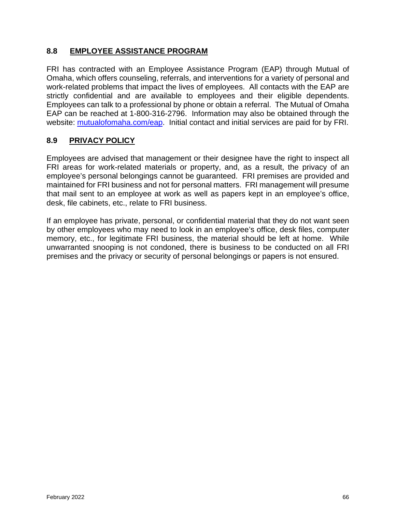#### <span id="page-65-0"></span>**8.8 EMPLOYEE ASSISTANCE PROGRAM**

FRI has contracted with an Employee Assistance Program (EAP) through Mutual of Omaha, which offers counseling, referrals, and interventions for a variety of personal and work-related problems that impact the lives of employees. All contacts with the EAP are strictly confidential and are available to employees and their eligible dependents. Employees can talk to a professional by phone or obtain a referral. The Mutual of Omaha EAP can be reached at 1-800-316-2796. Information may also be obtained through the website: [mutualofomaha.com/eap.](http://www.mutualofomaha.com/eap) Initial contact and initial services are paid for by FRI.

#### <span id="page-65-1"></span>**8.9 PRIVACY POLICY**

Employees are advised that management or their designee have the right to inspect all FRI areas for work-related materials or property, and, as a result, the privacy of an employee's personal belongings cannot be guaranteed. FRI premises are provided and maintained for FRI business and not for personal matters. FRI management will presume that mail sent to an employee at work as well as papers kept in an employee's office, desk, file cabinets, etc., relate to FRI business.

<span id="page-65-2"></span>If an employee has private, personal, or confidential material that they do not want seen by other employees who may need to look in an employee's office, desk files, computer memory, etc., for legitimate FRI business, the material should be left at home. While unwarranted snooping is not condoned, there is business to be conducted on all FRI premises and the privacy or security of personal belongings or papers is not ensured.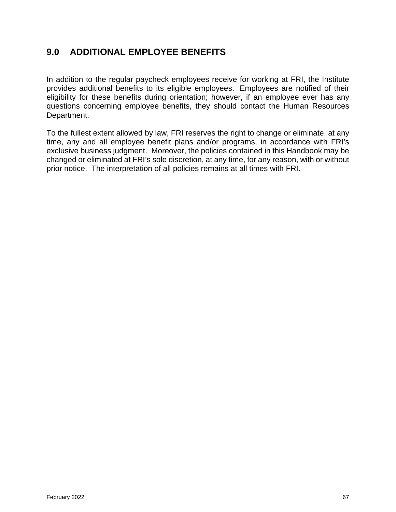# **9.0 ADDITIONAL EMPLOYEE BENEFITS**

In addition to the regular paycheck employees receive for working at FRI, the Institute provides additional benefits to its eligible employees. Employees are notified of their eligibility for these benefits during orientation; however, if an employee ever has any questions concerning employee benefits, they should contact the Human Resources Department.

**\_\_\_\_\_\_\_\_\_\_\_\_\_\_\_\_\_\_\_\_\_\_\_\_\_\_\_\_\_\_\_\_\_\_\_\_\_\_\_\_\_\_\_\_\_\_\_\_\_\_\_\_\_\_\_\_\_\_\_\_\_\_\_\_\_\_\_\_\_\_**

To the fullest extent allowed by law, FRI reserves the right to change or eliminate, at any time, any and all employee benefit plans and/or programs, in accordance with FRI's exclusive business judgment. Moreover, the policies contained in this Handbook may be changed or eliminated at FRI's sole discretion, at any time, for any reason, with or without prior notice. The interpretation of all policies remains at all times with FRI.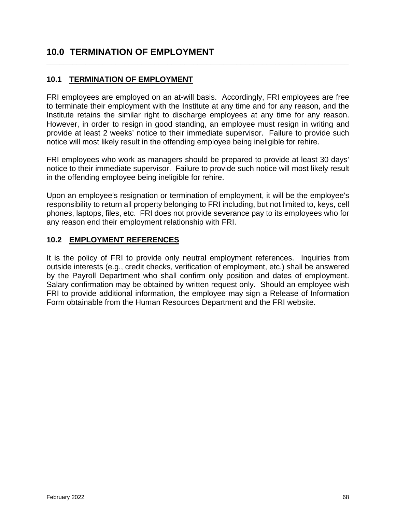# **10.0 TERMINATION OF EMPLOYMENT**

#### <span id="page-67-0"></span>**10.1 TERMINATION OF EMPLOYMENT**

FRI employees are employed on an at-will basis. Accordingly, FRI employees are free to terminate their employment with the Institute at any time and for any reason, and the Institute retains the similar right to discharge employees at any time for any reason. However, in order to resign in good standing, an employee must resign in writing and provide at least 2 weeks' notice to their immediate supervisor. Failure to provide such notice will most likely result in the offending employee being ineligible for rehire.

**\_\_\_\_\_\_\_\_\_\_\_\_\_\_\_\_\_\_\_\_\_\_\_\_\_\_\_\_\_\_\_\_\_\_\_\_\_\_\_\_\_\_\_\_\_\_\_\_\_\_\_\_\_\_\_\_\_\_\_\_\_\_\_\_\_\_\_\_\_\_**

FRI employees who work as managers should be prepared to provide at least 30 days' notice to their immediate supervisor. Failure to provide such notice will most likely result in the offending employee being ineligible for rehire.

Upon an employee's resignation or termination of employment, it will be the employee's responsibility to return all property belonging to FRI including, but not limited to, keys, cell phones, laptops, files, etc. FRI does not provide severance pay to its employees who for any reason end their employment relationship with FRI.

#### <span id="page-67-1"></span>**10.2 EMPLOYMENT REFERENCES**

It is the policy of FRI to provide only neutral employment references. Inquiries from outside interests (e.g., credit checks, verification of employment, etc.) shall be answered by the Payroll Department who shall confirm only position and dates of employment. Salary confirmation may be obtained by written request only. Should an employee wish FRI to provide additional information, the employee may sign a Release of Information Form obtainable from the Human Resources Department and the FRI website.